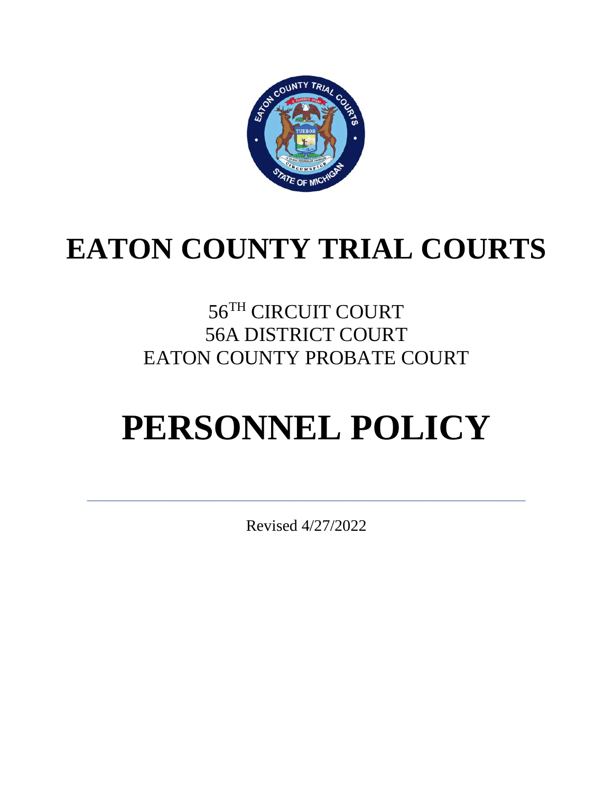

# **EATON COUNTY TRIAL COURTS**

# 56TH CIRCUIT COURT 56A DISTRICT COURT EATON COUNTY PROBATE COURT

# **PERSONNEL POLICY**

Revised 4/27/2022

\_\_\_\_\_\_\_\_\_\_\_\_\_\_\_\_\_\_\_\_\_\_\_\_\_\_\_\_\_\_\_\_\_\_\_\_\_\_\_\_\_\_\_\_\_\_\_\_\_\_\_\_\_\_\_\_\_\_\_\_\_\_\_\_\_\_\_\_\_\_\_\_\_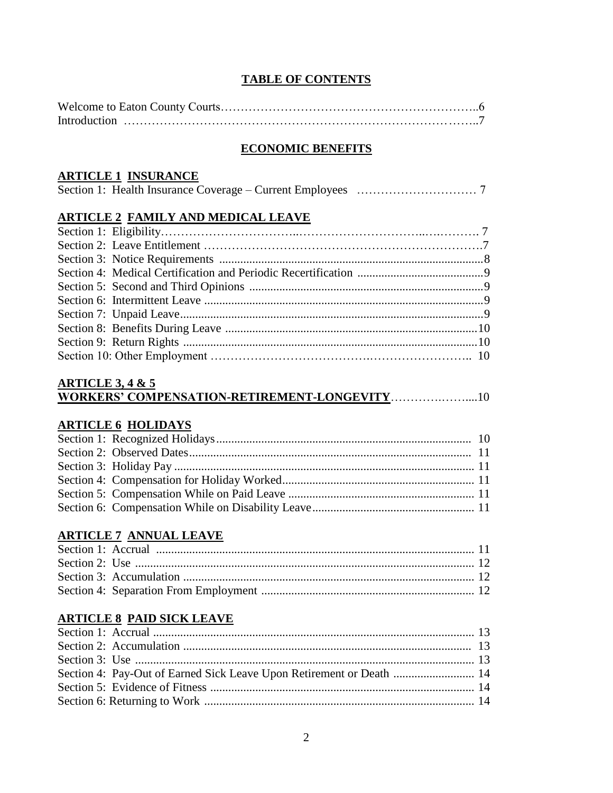#### **TABLE OF CONTENTS**

#### **ECONOMIC BENEFITS**

#### **ARTICLE 1 INSURANCE**

|--|--|--|--|--|--|--|--|

## **ARTICLE 2 FAMILY AND MEDICAL LEAVE**

#### **ARTICLE 3, 4 & 5 WORKERS' COMPENSATION-RETIREMENT-LONGEVITY**………….……....10

### **ARTICLE 6 HOLIDAYS**

#### **ARTICLE 7 ANNUAL LEAVE**

## **ARTICLE 8 PAID SICK LEAVE**

| Section 4: Pay-Out of Earned Sick Leave Upon Retirement or Death  14 |  |
|----------------------------------------------------------------------|--|
|                                                                      |  |
|                                                                      |  |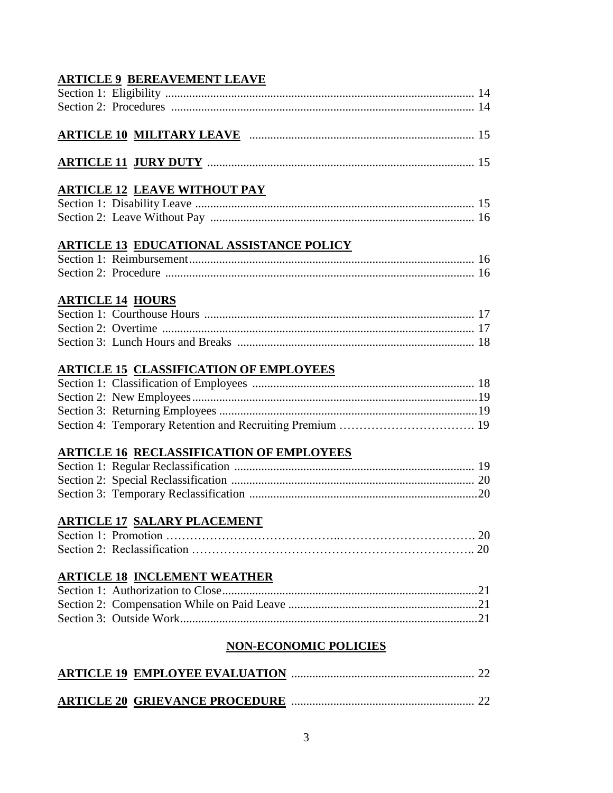## **ARTICLE 9 BEREAVEMENT LEAVE**

## **ARTICLE 10 MILITARY LEAVE** ........................................................................... 15

## **ARTICLE 11 JURY DUTY** ......................................................................................... 15

## **ARTICLE 12 LEAVE WITHOUT PAY**

## **ARTICLE 13 EDUCATIONAL ASSISTANCE POLICY**

## **ARTICLE 14 HOURS**

## **ARTICLE 15 CLASSIFICATION OF EMPLOYEES**

## **ARTICLE 16 RECLASSIFICATION OF EMPLOYEES**

## **ARTICLE 17 SALARY PLACEMENT**

## **ARTICLE 18 INCLEMENT WEATHER**

## **NON-ECONOMIC POLICIES**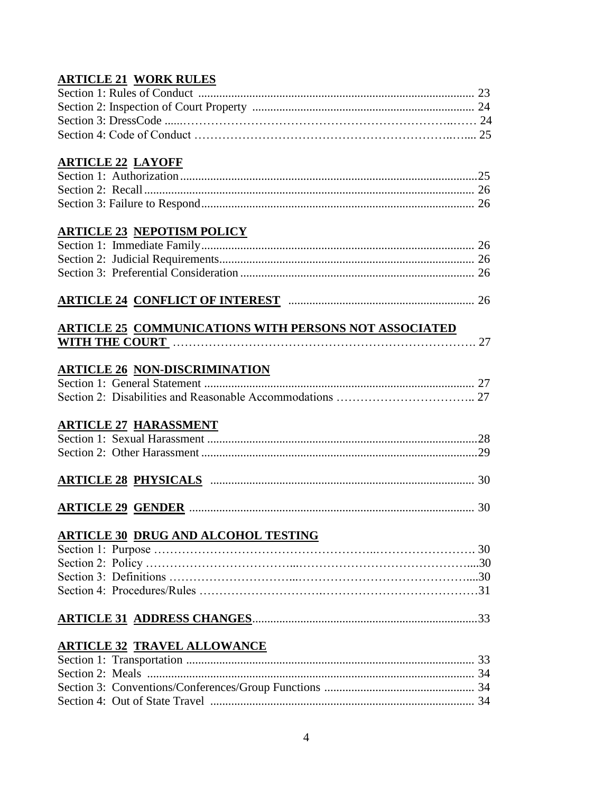## **ARTICLE 21 WORK RULES**

## **ARTICLE 22 LAYOFF**

## **ARTICLE 23 NEPOTISM POLICY**

## **ARTICLE 24 CONFLICT OF INTEREST** .............................................................. 26

#### **ARTICLE 25 COMMUNICATIONS WITH PERSONS NOT ASSOCIATED WITH THE COURT** …………………………………………………………………. 27

## **ARTICLE 26 NON-DISCRIMINATION**

## **ARTICLE 27 HARASSMENT**

## **ARTICLE 28 PHYSICALS** ........................................................................................ 30

**ARTICLE 29 GENDER** ............................................................................................... 30

## **ARTICLE 30 DRUG AND ALCOHOL TESTING**

## **ARTICLE 31 ADDRESS CHANGES**...........................................................................33

## **ARTICLE 32 TRAVEL ALLOWANCE**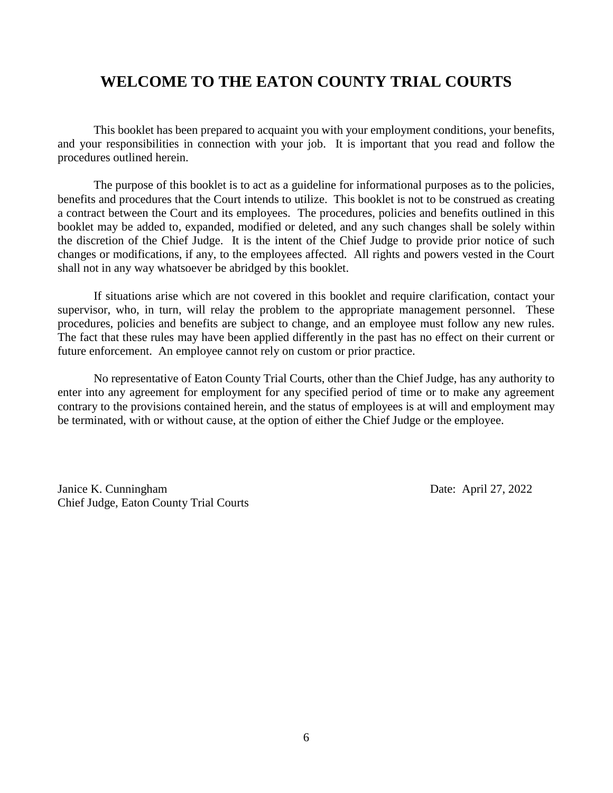## **WELCOME TO THE EATON COUNTY TRIAL COURTS**

This booklet has been prepared to acquaint you with your employment conditions, your benefits, and your responsibilities in connection with your job. It is important that you read and follow the procedures outlined herein.

The purpose of this booklet is to act as a guideline for informational purposes as to the policies, benefits and procedures that the Court intends to utilize. This booklet is not to be construed as creating a contract between the Court and its employees. The procedures, policies and benefits outlined in this booklet may be added to, expanded, modified or deleted, and any such changes shall be solely within the discretion of the Chief Judge. It is the intent of the Chief Judge to provide prior notice of such changes or modifications, if any, to the employees affected. All rights and powers vested in the Court shall not in any way whatsoever be abridged by this booklet.

If situations arise which are not covered in this booklet and require clarification, contact your supervisor, who, in turn, will relay the problem to the appropriate management personnel. These procedures, policies and benefits are subject to change, and an employee must follow any new rules. The fact that these rules may have been applied differently in the past has no effect on their current or future enforcement. An employee cannot rely on custom or prior practice.

No representative of Eaton County Trial Courts, other than the Chief Judge, has any authority to enter into any agreement for employment for any specified period of time or to make any agreement contrary to the provisions contained herein, and the status of employees is at will and employment may be terminated, with or without cause, at the option of either the Chief Judge or the employee.

Janice K. Cunningham Date: April 27, 2022 Chief Judge, Eaton County Trial Courts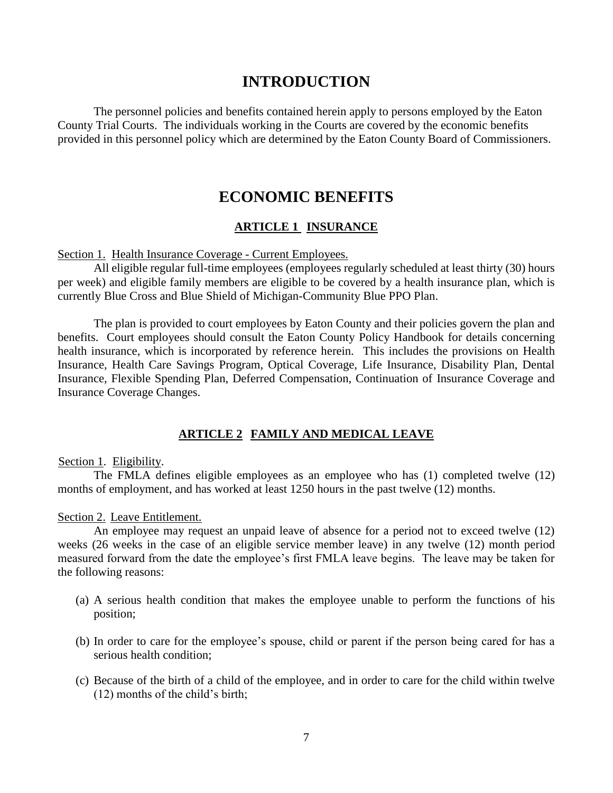## **INTRODUCTION**

The personnel policies and benefits contained herein apply to persons employed by the Eaton County Trial Courts. The individuals working in the Courts are covered by the economic benefits provided in this personnel policy which are determined by the Eaton County Board of Commissioners.

## **ECONOMIC BENEFITS**

#### **ARTICLE 1 INSURANCE**

Section 1. Health Insurance Coverage - Current Employees.

All eligible regular full-time employees (employees regularly scheduled at least thirty (30) hours per week) and eligible family members are eligible to be covered by a health insurance plan, which is currently Blue Cross and Blue Shield of Michigan-Community Blue PPO Plan.

The plan is provided to court employees by Eaton County and their policies govern the plan and benefits. Court employees should consult the Eaton County Policy Handbook for details concerning health insurance, which is incorporated by reference herein. This includes the provisions on Health Insurance, Health Care Savings Program, Optical Coverage, Life Insurance, Disability Plan, Dental Insurance, Flexible Spending Plan, Deferred Compensation, Continuation of Insurance Coverage and Insurance Coverage Changes.

#### **ARTICLE 2 FAMILY AND MEDICAL LEAVE**

Section 1. Eligibility.

The FMLA defines eligible employees as an employee who has (1) completed twelve (12) months of employment, and has worked at least 1250 hours in the past twelve (12) months.

Section 2. Leave Entitlement.

An employee may request an unpaid leave of absence for a period not to exceed twelve (12) weeks (26 weeks in the case of an eligible service member leave) in any twelve (12) month period measured forward from the date the employee's first FMLA leave begins. The leave may be taken for the following reasons:

- (a) A serious health condition that makes the employee unable to perform the functions of his position;
- (b) In order to care for the employee's spouse, child or parent if the person being cared for has a serious health condition;
- (c) Because of the birth of a child of the employee, and in order to care for the child within twelve (12) months of the child's birth;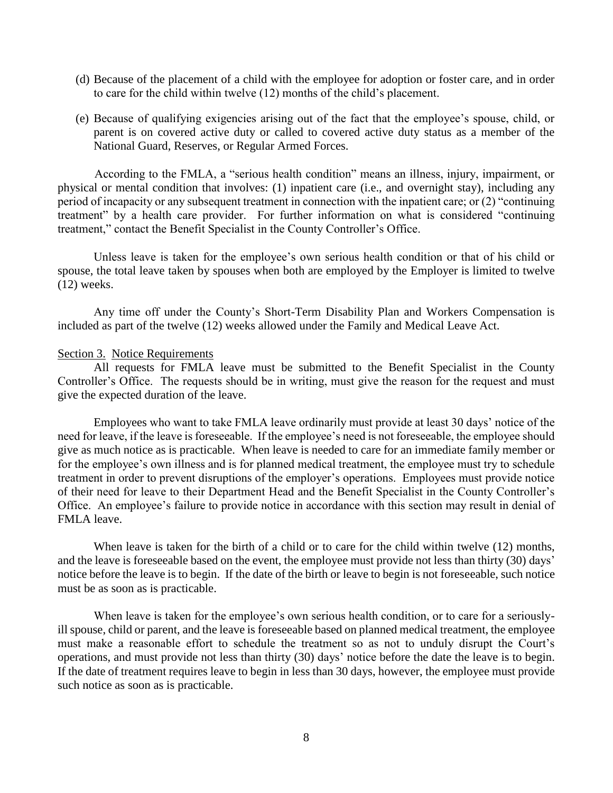- (d) Because of the placement of a child with the employee for adoption or foster care, and in order to care for the child within twelve (12) months of the child's placement.
- (e) Because of qualifying exigencies arising out of the fact that the employee's spouse, child, or parent is on covered active duty or called to covered active duty status as a member of the National Guard, Reserves, or Regular Armed Forces.

According to the FMLA, a "serious health condition" means an illness, injury, impairment, or physical or mental condition that involves: (1) inpatient care (i.e., and overnight stay), including any period of incapacity or any subsequent treatment in connection with the inpatient care; or (2) "continuing treatment" by a health care provider. For further information on what is considered "continuing treatment," contact the Benefit Specialist in the County Controller's Office.

Unless leave is taken for the employee's own serious health condition or that of his child or spouse, the total leave taken by spouses when both are employed by the Employer is limited to twelve (12) weeks.

Any time off under the County's Short-Term Disability Plan and Workers Compensation is included as part of the twelve (12) weeks allowed under the Family and Medical Leave Act.

#### Section 3. Notice Requirements

All requests for FMLA leave must be submitted to the Benefit Specialist in the County Controller's Office. The requests should be in writing, must give the reason for the request and must give the expected duration of the leave.

Employees who want to take FMLA leave ordinarily must provide at least 30 days' notice of the need for leave, if the leave is foreseeable. If the employee's need is not foreseeable, the employee should give as much notice as is practicable. When leave is needed to care for an immediate family member or for the employee's own illness and is for planned medical treatment, the employee must try to schedule treatment in order to prevent disruptions of the employer's operations. Employees must provide notice of their need for leave to their Department Head and the Benefit Specialist in the County Controller's Office. An employee's failure to provide notice in accordance with this section may result in denial of FMLA leave.

When leave is taken for the birth of a child or to care for the child within twelve (12) months, and the leave is foreseeable based on the event, the employee must provide not less than thirty (30) days' notice before the leave is to begin. If the date of the birth or leave to begin is not foreseeable, such notice must be as soon as is practicable.

When leave is taken for the employee's own serious health condition, or to care for a seriouslyill spouse, child or parent, and the leave is foreseeable based on planned medical treatment, the employee must make a reasonable effort to schedule the treatment so as not to unduly disrupt the Court's operations, and must provide not less than thirty (30) days' notice before the date the leave is to begin. If the date of treatment requires leave to begin in less than 30 days, however, the employee must provide such notice as soon as is practicable.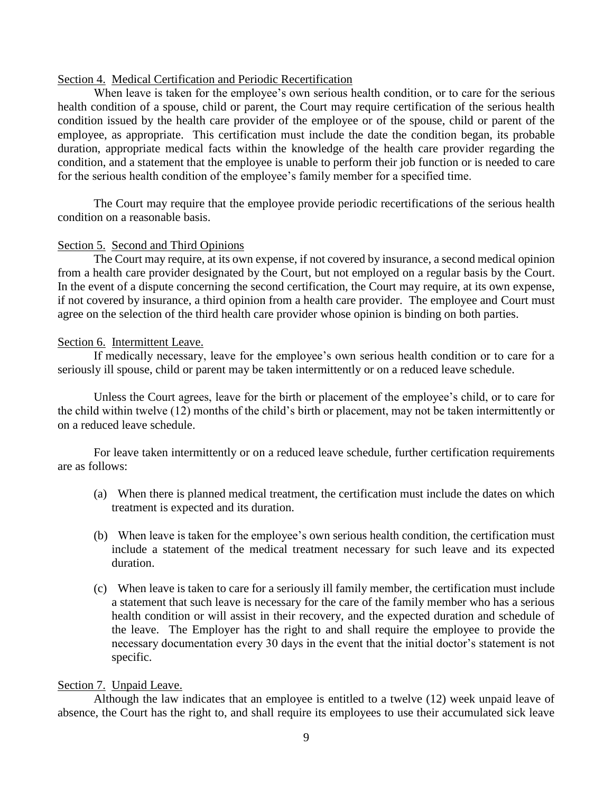#### Section 4. Medical Certification and Periodic Recertification

When leave is taken for the employee's own serious health condition, or to care for the serious health condition of a spouse, child or parent, the Court may require certification of the serious health condition issued by the health care provider of the employee or of the spouse, child or parent of the employee, as appropriate. This certification must include the date the condition began, its probable duration, appropriate medical facts within the knowledge of the health care provider regarding the condition, and a statement that the employee is unable to perform their job function or is needed to care for the serious health condition of the employee's family member for a specified time.

The Court may require that the employee provide periodic recertifications of the serious health condition on a reasonable basis.

#### Section 5. Second and Third Opinions

The Court may require, at its own expense, if not covered by insurance, a second medical opinion from a health care provider designated by the Court, but not employed on a regular basis by the Court. In the event of a dispute concerning the second certification, the Court may require, at its own expense, if not covered by insurance, a third opinion from a health care provider. The employee and Court must agree on the selection of the third health care provider whose opinion is binding on both parties.

#### Section 6. Intermittent Leave.

If medically necessary, leave for the employee's own serious health condition or to care for a seriously ill spouse, child or parent may be taken intermittently or on a reduced leave schedule.

Unless the Court agrees, leave for the birth or placement of the employee's child, or to care for the child within twelve (12) months of the child's birth or placement, may not be taken intermittently or on a reduced leave schedule.

For leave taken intermittently or on a reduced leave schedule, further certification requirements are as follows:

- (a) When there is planned medical treatment, the certification must include the dates on which treatment is expected and its duration.
- (b) When leave is taken for the employee's own serious health condition, the certification must include a statement of the medical treatment necessary for such leave and its expected duration.
- (c) When leave is taken to care for a seriously ill family member, the certification must include a statement that such leave is necessary for the care of the family member who has a serious health condition or will assist in their recovery, and the expected duration and schedule of the leave. The Employer has the right to and shall require the employee to provide the necessary documentation every 30 days in the event that the initial doctor's statement is not specific.

#### Section 7. Unpaid Leave.

Although the law indicates that an employee is entitled to a twelve (12) week unpaid leave of absence, the Court has the right to, and shall require its employees to use their accumulated sick leave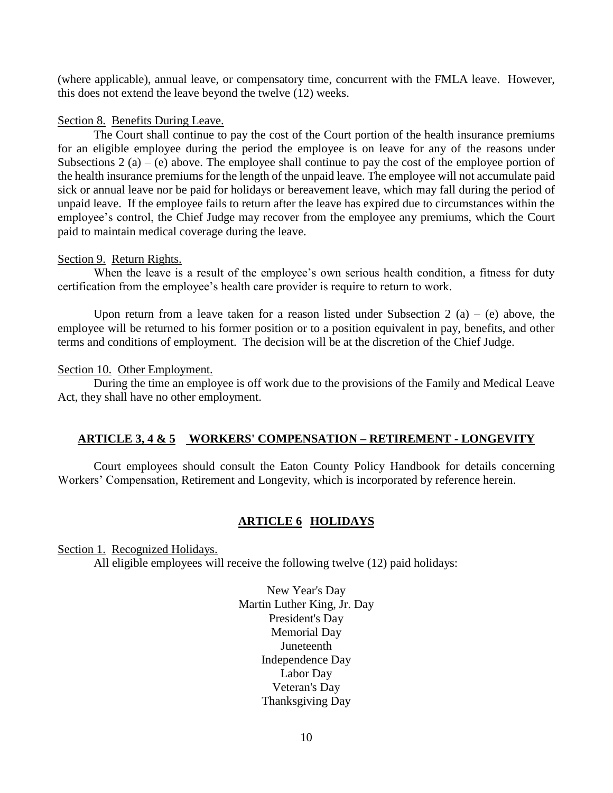(where applicable), annual leave, or compensatory time, concurrent with the FMLA leave. However, this does not extend the leave beyond the twelve (12) weeks.

#### Section 8. Benefits During Leave.

The Court shall continue to pay the cost of the Court portion of the health insurance premiums for an eligible employee during the period the employee is on leave for any of the reasons under Subsections 2 (a) – (e) above. The employee shall continue to pay the cost of the employee portion of the health insurance premiums for the length of the unpaid leave. The employee will not accumulate paid sick or annual leave nor be paid for holidays or bereavement leave, which may fall during the period of unpaid leave. If the employee fails to return after the leave has expired due to circumstances within the employee's control, the Chief Judge may recover from the employee any premiums, which the Court paid to maintain medical coverage during the leave.

#### Section 9. Return Rights.

When the leave is a result of the employee's own serious health condition, a fitness for duty certification from the employee's health care provider is require to return to work.

Upon return from a leave taken for a reason listed under Subsection 2 (a) – (e) above, the employee will be returned to his former position or to a position equivalent in pay, benefits, and other terms and conditions of employment. The decision will be at the discretion of the Chief Judge.

#### Section 10. Other Employment.

During the time an employee is off work due to the provisions of the Family and Medical Leave Act, they shall have no other employment.

#### **ARTICLE 3, 4 & 5 WORKERS' COMPENSATION – RETIREMENT - LONGEVITY**

Court employees should consult the Eaton County Policy Handbook for details concerning Workers' Compensation, Retirement and Longevity, which is incorporated by reference herein.

#### **ARTICLE 6 HOLIDAYS**

Section 1. Recognized Holidays.

All eligible employees will receive the following twelve (12) paid holidays:

New Year's Day Martin Luther King, Jr. Day President's Day Memorial Day Juneteenth Independence Day Labor Day Veteran's Day Thanksgiving Day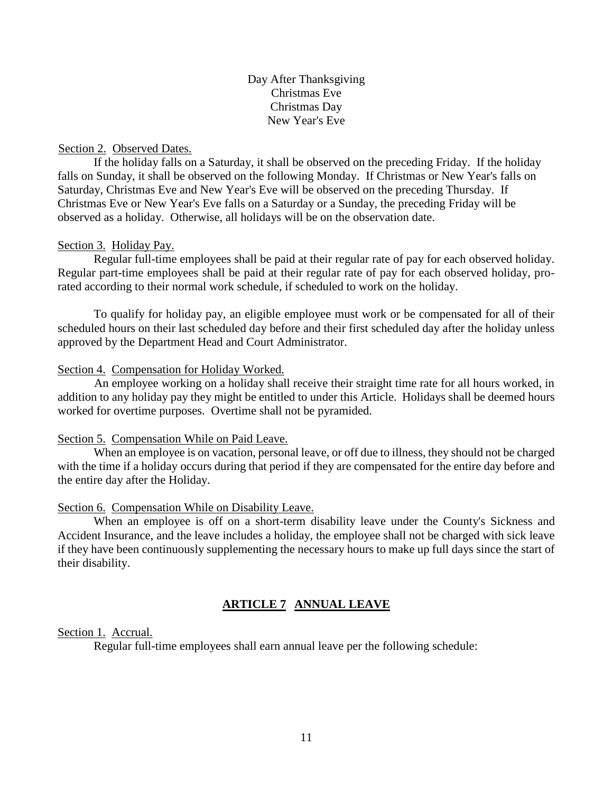Day After Thanksgiving Christmas Eve Christmas Day New Year's Eve

#### Section 2. Observed Dates.

If the holiday falls on a Saturday, it shall be observed on the preceding Friday. If the holiday falls on Sunday, it shall be observed on the following Monday. If Christmas or New Year's falls on Saturday, Christmas Eve and New Year's Eve will be observed on the preceding Thursday. If Christmas Eve or New Year's Eve falls on a Saturday or a Sunday, the preceding Friday will be observed as a holiday. Otherwise, all holidays will be on the observation date.

#### Section 3. Holiday Pay.

Regular full-time employees shall be paid at their regular rate of pay for each observed holiday. Regular part-time employees shall be paid at their regular rate of pay for each observed holiday, prorated according to their normal work schedule, if scheduled to work on the holiday.

To qualify for holiday pay, an eligible employee must work or be compensated for all of their scheduled hours on their last scheduled day before and their first scheduled day after the holiday unless approved by the Department Head and Court Administrator.

#### Section 4. Compensation for Holiday Worked.

An employee working on a holiday shall receive their straight time rate for all hours worked, in addition to any holiday pay they might be entitled to under this Article. Holidays shall be deemed hours worked for overtime purposes. Overtime shall not be pyramided.

#### Section 5. Compensation While on Paid Leave.

When an employee is on vacation, personal leave, or off due to illness, they should not be charged with the time if a holiday occurs during that period if they are compensated for the entire day before and the entire day after the Holiday.

#### Section 6. Compensation While on Disability Leave.

When an employee is off on a short-term disability leave under the County's Sickness and Accident Insurance, and the leave includes a holiday, the employee shall not be charged with sick leave if they have been continuously supplementing the necessary hours to make up full days since the start of their disability.

#### **ARTICLE 7 ANNUAL LEAVE**

#### Section 1. Accrual.

Regular full-time employees shall earn annual leave per the following schedule: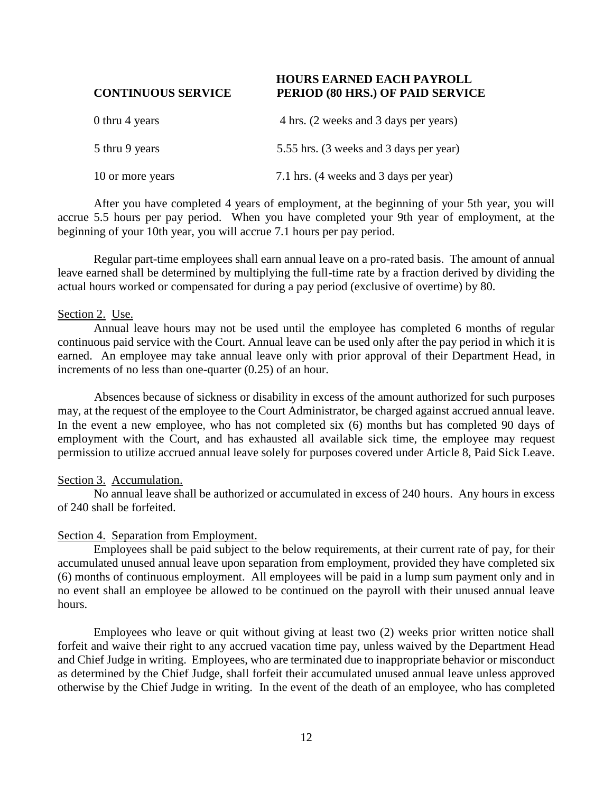#### **HOURS EARNED EACH PAYROLL CONTINUOUS SERVICE PERIOD (80 HRS.) OF PAID SERVICE**

| 0 thru 4 years   | 4 hrs. (2 weeks and 3 days per years)   |
|------------------|-----------------------------------------|
| 5 thru 9 years   | 5.55 hrs. (3 weeks and 3 days per year) |
| 10 or more years | 7.1 hrs. (4 weeks and 3 days per year)  |

After you have completed 4 years of employment, at the beginning of your 5th year, you will accrue 5.5 hours per pay period. When you have completed your 9th year of employment, at the beginning of your 10th year, you will accrue 7.1 hours per pay period.

Regular part-time employees shall earn annual leave on a pro-rated basis. The amount of annual leave earned shall be determined by multiplying the full-time rate by a fraction derived by dividing the actual hours worked or compensated for during a pay period (exclusive of overtime) by 80.

#### Section 2. Use.

Annual leave hours may not be used until the employee has completed 6 months of regular continuous paid service with the Court. Annual leave can be used only after the pay period in which it is earned. An employee may take annual leave only with prior approval of their Department Head, in increments of no less than one-quarter (0.25) of an hour.

Absences because of sickness or disability in excess of the amount authorized for such purposes may, at the request of the employee to the Court Administrator, be charged against accrued annual leave. In the event a new employee, who has not completed six (6) months but has completed 90 days of employment with the Court, and has exhausted all available sick time, the employee may request permission to utilize accrued annual leave solely for purposes covered under Article 8, Paid Sick Leave.

#### Section 3. Accumulation.

No annual leave shall be authorized or accumulated in excess of 240 hours. Any hours in excess of 240 shall be forfeited.

#### Section 4. Separation from Employment.

Employees shall be paid subject to the below requirements, at their current rate of pay, for their accumulated unused annual leave upon separation from employment, provided they have completed six (6) months of continuous employment. All employees will be paid in a lump sum payment only and in no event shall an employee be allowed to be continued on the payroll with their unused annual leave hours.

Employees who leave or quit without giving at least two (2) weeks prior written notice shall forfeit and waive their right to any accrued vacation time pay, unless waived by the Department Head and Chief Judge in writing. Employees, who are terminated due to inappropriate behavior or misconduct as determined by the Chief Judge, shall forfeit their accumulated unused annual leave unless approved otherwise by the Chief Judge in writing. In the event of the death of an employee, who has completed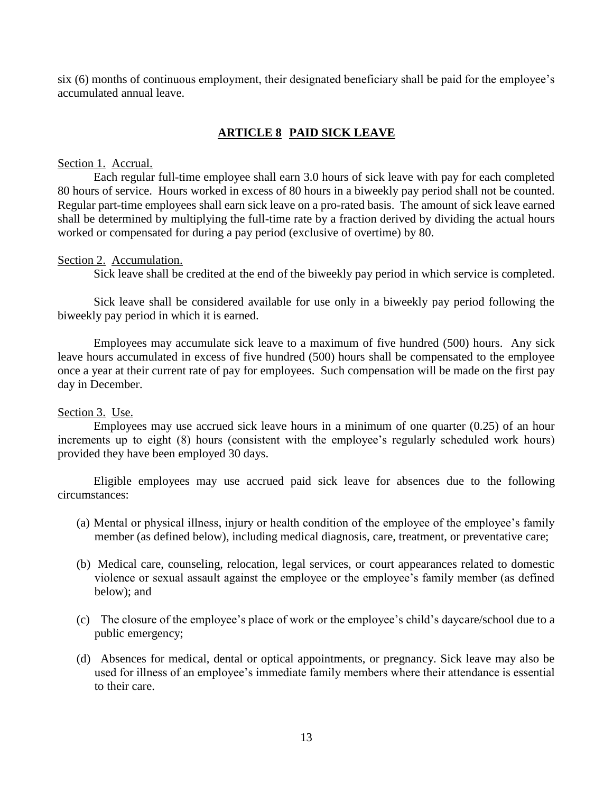six (6) months of continuous employment, their designated beneficiary shall be paid for the employee's accumulated annual leave.

## **ARTICLE 8 PAID SICK LEAVE**

#### Section 1. Accrual.

Each regular full-time employee shall earn 3.0 hours of sick leave with pay for each completed 80 hours of service. Hours worked in excess of 80 hours in a biweekly pay period shall not be counted. Regular part-time employees shall earn sick leave on a pro-rated basis. The amount of sick leave earned shall be determined by multiplying the full-time rate by a fraction derived by dividing the actual hours worked or compensated for during a pay period (exclusive of overtime) by 80.

#### Section 2. Accumulation.

Sick leave shall be credited at the end of the biweekly pay period in which service is completed.

Sick leave shall be considered available for use only in a biweekly pay period following the biweekly pay period in which it is earned.

Employees may accumulate sick leave to a maximum of five hundred (500) hours. Any sick leave hours accumulated in excess of five hundred (500) hours shall be compensated to the employee once a year at their current rate of pay for employees. Such compensation will be made on the first pay day in December.

#### Section 3. Use.

Employees may use accrued sick leave hours in a minimum of one quarter (0.25) of an hour increments up to eight (8) hours (consistent with the employee's regularly scheduled work hours) provided they have been employed 30 days.

Eligible employees may use accrued paid sick leave for absences due to the following circumstances:

- (a) Mental or physical illness, injury or health condition of the employee of the employee's family member (as defined below), including medical diagnosis, care, treatment, or preventative care;
- (b) Medical care, counseling, relocation, legal services, or court appearances related to domestic violence or sexual assault against the employee or the employee's family member (as defined below); and
- (c) The closure of the employee's place of work or the employee's child's daycare/school due to a public emergency;
- (d) Absences for medical, dental or optical appointments, or pregnancy. Sick leave may also be used for illness of an employee's immediate family members where their attendance is essential to their care.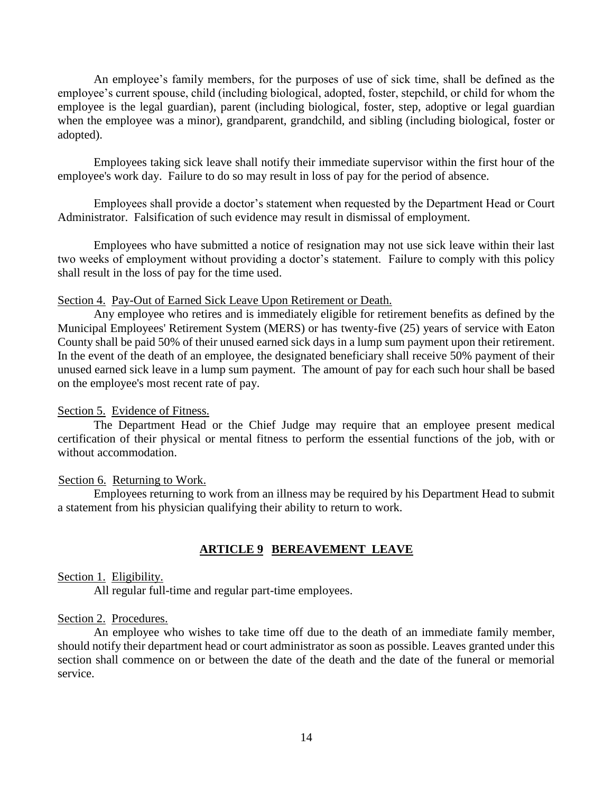An employee's family members, for the purposes of use of sick time, shall be defined as the employee's current spouse, child (including biological, adopted, foster, stepchild, or child for whom the employee is the legal guardian), parent (including biological, foster, step, adoptive or legal guardian when the employee was a minor), grandparent, grandchild, and sibling (including biological, foster or adopted).

Employees taking sick leave shall notify their immediate supervisor within the first hour of the employee's work day. Failure to do so may result in loss of pay for the period of absence.

Employees shall provide a doctor's statement when requested by the Department Head or Court Administrator. Falsification of such evidence may result in dismissal of employment.

Employees who have submitted a notice of resignation may not use sick leave within their last two weeks of employment without providing a doctor's statement. Failure to comply with this policy shall result in the loss of pay for the time used.

#### Section 4. Pay-Out of Earned Sick Leave Upon Retirement or Death.

Any employee who retires and is immediately eligible for retirement benefits as defined by the Municipal Employees' Retirement System (MERS) or has twenty-five (25) years of service with Eaton County shall be paid 50% of their unused earned sick days in a lump sum payment upon their retirement. In the event of the death of an employee, the designated beneficiary shall receive 50% payment of their unused earned sick leave in a lump sum payment. The amount of pay for each such hour shall be based on the employee's most recent rate of pay.

#### Section 5. Evidence of Fitness.

The Department Head or the Chief Judge may require that an employee present medical certification of their physical or mental fitness to perform the essential functions of the job, with or without accommodation.

#### Section 6. Returning to Work.

Employees returning to work from an illness may be required by his Department Head to submit a statement from his physician qualifying their ability to return to work.

#### **ARTICLE 9 BEREAVEMENT LEAVE**

#### Section 1. Eligibility.

All regular full-time and regular part-time employees.

#### Section 2. Procedures.

An employee who wishes to take time off due to the death of an immediate family member, should notify their department head or court administrator as soon as possible. Leaves granted under this section shall commence on or between the date of the death and the date of the funeral or memorial service.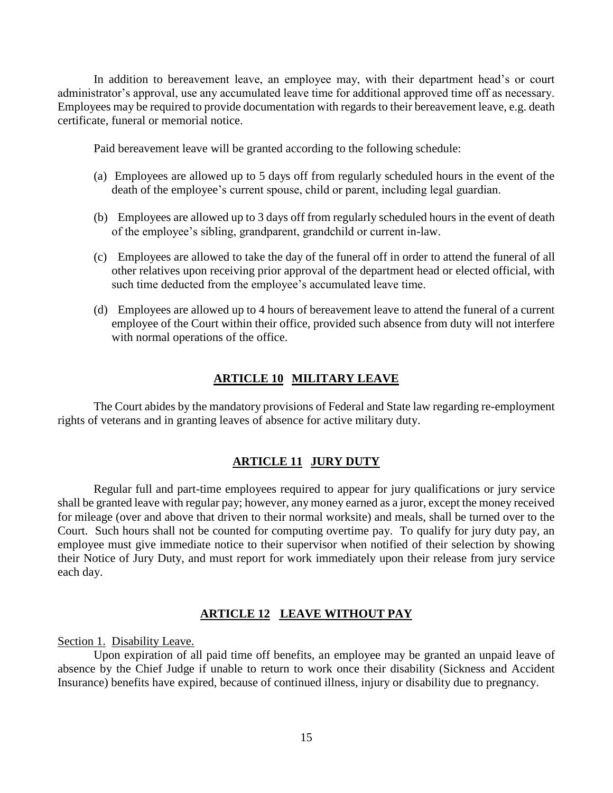In addition to bereavement leave, an employee may, with their department head's or court administrator's approval, use any accumulated leave time for additional approved time off as necessary. Employees may be required to provide documentation with regards to their bereavement leave, e.g. death certificate, funeral or memorial notice.

Paid bereavement leave will be granted according to the following schedule:

- (a) Employees are allowed up to 5 days off from regularly scheduled hours in the event of the death of the employee's current spouse, child or parent, including legal guardian.
- (b) Employees are allowed up to 3 days off from regularly scheduled hours in the event of death of the employee's sibling, grandparent, grandchild or current in-law.
- (c) Employees are allowed to take the day of the funeral off in order to attend the funeral of all other relatives upon receiving prior approval of the department head or elected official, with such time deducted from the employee's accumulated leave time.
- (d) Employees are allowed up to 4 hours of bereavement leave to attend the funeral of a current employee of the Court within their office, provided such absence from duty will not interfere with normal operations of the office.

#### **ARTICLE 10 MILITARY LEAVE**

The Court abides by the mandatory provisions of Federal and State law regarding re-employment rights of veterans and in granting leaves of absence for active military duty.

#### **ARTICLE 11 JURY DUTY**

Regular full and part-time employees required to appear for jury qualifications or jury service shall be granted leave with regular pay; however, any money earned as a juror, except the money received for mileage (over and above that driven to their normal worksite) and meals, shall be turned over to the Court. Such hours shall not be counted for computing overtime pay. To qualify for jury duty pay, an employee must give immediate notice to their supervisor when notified of their selection by showing their Notice of Jury Duty, and must report for work immediately upon their release from jury service each day.

#### **ARTICLE 12 LEAVE WITHOUT PAY**

Section 1. Disability Leave.

Upon expiration of all paid time off benefits, an employee may be granted an unpaid leave of absence by the Chief Judge if unable to return to work once their disability (Sickness and Accident Insurance) benefits have expired, because of continued illness, injury or disability due to pregnancy.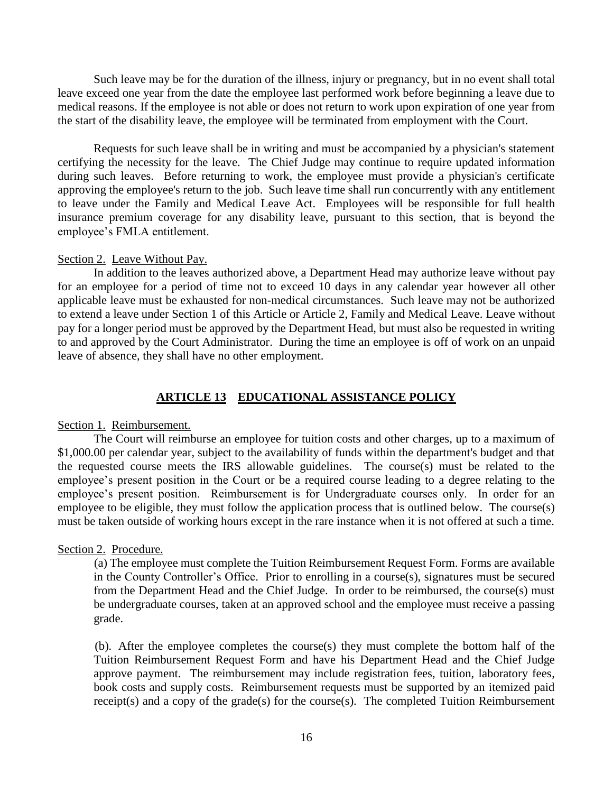Such leave may be for the duration of the illness, injury or pregnancy, but in no event shall total leave exceed one year from the date the employee last performed work before beginning a leave due to medical reasons. If the employee is not able or does not return to work upon expiration of one year from the start of the disability leave, the employee will be terminated from employment with the Court.

Requests for such leave shall be in writing and must be accompanied by a physician's statement certifying the necessity for the leave. The Chief Judge may continue to require updated information during such leaves. Before returning to work, the employee must provide a physician's certificate approving the employee's return to the job. Such leave time shall run concurrently with any entitlement to leave under the Family and Medical Leave Act. Employees will be responsible for full health insurance premium coverage for any disability leave, pursuant to this section, that is beyond the employee's FMLA entitlement.

#### Section 2. Leave Without Pay.

In addition to the leaves authorized above, a Department Head may authorize leave without pay for an employee for a period of time not to exceed 10 days in any calendar year however all other applicable leave must be exhausted for non-medical circumstances. Such leave may not be authorized to extend a leave under Section 1 of this Article or Article 2, Family and Medical Leave. Leave without pay for a longer period must be approved by the Department Head, but must also be requested in writing to and approved by the Court Administrator. During the time an employee is off of work on an unpaid leave of absence, they shall have no other employment.

#### **ARTICLE 13 EDUCATIONAL ASSISTANCE POLICY**

#### Section 1. Reimbursement.

The Court will reimburse an employee for tuition costs and other charges, up to a maximum of \$1,000.00 per calendar year, subject to the availability of funds within the department's budget and that the requested course meets the IRS allowable guidelines. The course(s) must be related to the employee's present position in the Court or be a required course leading to a degree relating to the employee's present position. Reimbursement is for Undergraduate courses only. In order for an employee to be eligible, they must follow the application process that is outlined below. The course(s) must be taken outside of working hours except in the rare instance when it is not offered at such a time.

#### Section 2. Procedure.

(a) The employee must complete the Tuition Reimbursement Request Form. Forms are available in the County Controller's Office. Prior to enrolling in a course(s), signatures must be secured from the Department Head and the Chief Judge. In order to be reimbursed, the course(s) must be undergraduate courses, taken at an approved school and the employee must receive a passing grade.

(b). After the employee completes the course(s) they must complete the bottom half of the Tuition Reimbursement Request Form and have his Department Head and the Chief Judge approve payment. The reimbursement may include registration fees, tuition, laboratory fees, book costs and supply costs. Reimbursement requests must be supported by an itemized paid receipt(s) and a copy of the grade(s) for the course(s). The completed Tuition Reimbursement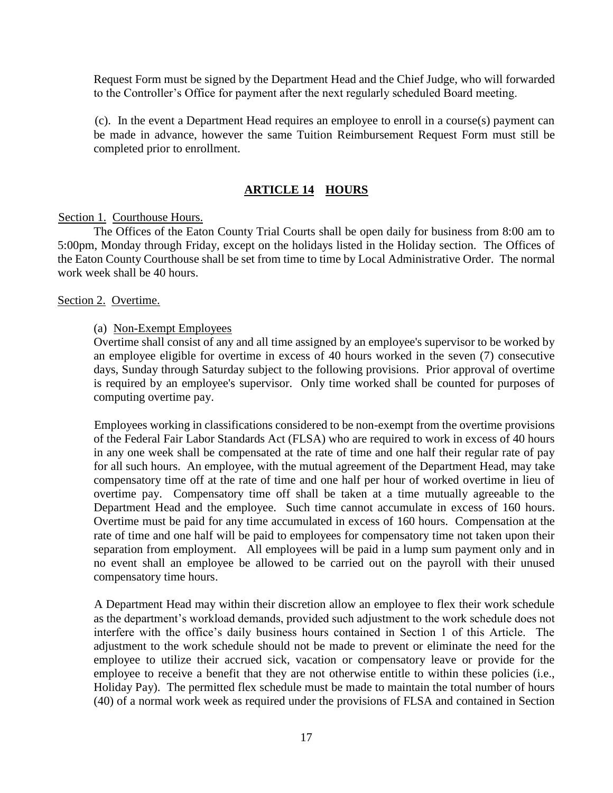Request Form must be signed by the Department Head and the Chief Judge, who will forwarded to the Controller's Office for payment after the next regularly scheduled Board meeting.

(c). In the event a Department Head requires an employee to enroll in a course(s) payment can be made in advance, however the same Tuition Reimbursement Request Form must still be completed prior to enrollment.

#### **ARTICLE 14 HOURS**

#### Section 1. Courthouse Hours.

The Offices of the Eaton County Trial Courts shall be open daily for business from 8:00 am to 5:00pm, Monday through Friday, except on the holidays listed in the Holiday section. The Offices of the Eaton County Courthouse shall be set from time to time by Local Administrative Order. The normal work week shall be 40 hours.

#### Section 2. Overtime.

#### (a) Non-Exempt Employees

Overtime shall consist of any and all time assigned by an employee's supervisor to be worked by an employee eligible for overtime in excess of 40 hours worked in the seven (7) consecutive days, Sunday through Saturday subject to the following provisions. Prior approval of overtime is required by an employee's supervisor. Only time worked shall be counted for purposes of computing overtime pay.

Employees working in classifications considered to be non-exempt from the overtime provisions of the Federal Fair Labor Standards Act (FLSA) who are required to work in excess of 40 hours in any one week shall be compensated at the rate of time and one half their regular rate of pay for all such hours. An employee, with the mutual agreement of the Department Head, may take compensatory time off at the rate of time and one half per hour of worked overtime in lieu of overtime pay. Compensatory time off shall be taken at a time mutually agreeable to the Department Head and the employee. Such time cannot accumulate in excess of 160 hours. Overtime must be paid for any time accumulated in excess of 160 hours. Compensation at the rate of time and one half will be paid to employees for compensatory time not taken upon their separation from employment. All employees will be paid in a lump sum payment only and in no event shall an employee be allowed to be carried out on the payroll with their unused compensatory time hours.

A Department Head may within their discretion allow an employee to flex their work schedule as the department's workload demands, provided such adjustment to the work schedule does not interfere with the office's daily business hours contained in Section 1 of this Article. The adjustment to the work schedule should not be made to prevent or eliminate the need for the employee to utilize their accrued sick, vacation or compensatory leave or provide for the employee to receive a benefit that they are not otherwise entitle to within these policies (i.e., Holiday Pay). The permitted flex schedule must be made to maintain the total number of hours (40) of a normal work week as required under the provisions of FLSA and contained in Section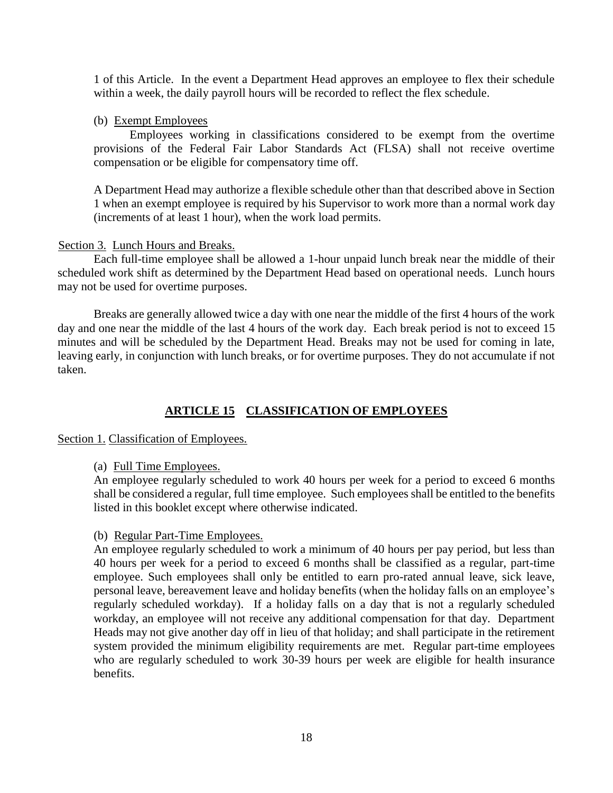1 of this Article. In the event a Department Head approves an employee to flex their schedule within a week, the daily payroll hours will be recorded to reflect the flex schedule.

#### (b) Exempt Employees

Employees working in classifications considered to be exempt from the overtime provisions of the Federal Fair Labor Standards Act (FLSA) shall not receive overtime compensation or be eligible for compensatory time off.

A Department Head may authorize a flexible schedule other than that described above in Section 1 when an exempt employee is required by his Supervisor to work more than a normal work day (increments of at least 1 hour), when the work load permits.

#### Section 3. Lunch Hours and Breaks.

Each full-time employee shall be allowed a 1-hour unpaid lunch break near the middle of their scheduled work shift as determined by the Department Head based on operational needs. Lunch hours may not be used for overtime purposes.

Breaks are generally allowed twice a day with one near the middle of the first 4 hours of the work day and one near the middle of the last 4 hours of the work day. Each break period is not to exceed 15 minutes and will be scheduled by the Department Head. Breaks may not be used for coming in late, leaving early, in conjunction with lunch breaks, or for overtime purposes. They do not accumulate if not taken.

#### **ARTICLE 15 CLASSIFICATION OF EMPLOYEES**

#### Section 1. Classification of Employees.

(a) Full Time Employees.

An employee regularly scheduled to work 40 hours per week for a period to exceed 6 months shall be considered a regular, full time employee. Such employees shall be entitled to the benefits listed in this booklet except where otherwise indicated.

#### (b) Regular Part-Time Employees.

An employee regularly scheduled to work a minimum of 40 hours per pay period, but less than 40 hours per week for a period to exceed 6 months shall be classified as a regular, part-time employee. Such employees shall only be entitled to earn pro-rated annual leave, sick leave, personal leave, bereavement leave and holiday benefits (when the holiday falls on an employee's regularly scheduled workday). If a holiday falls on a day that is not a regularly scheduled workday, an employee will not receive any additional compensation for that day. Department Heads may not give another day off in lieu of that holiday; and shall participate in the retirement system provided the minimum eligibility requirements are met. Regular part-time employees who are regularly scheduled to work 30-39 hours per week are eligible for health insurance benefits.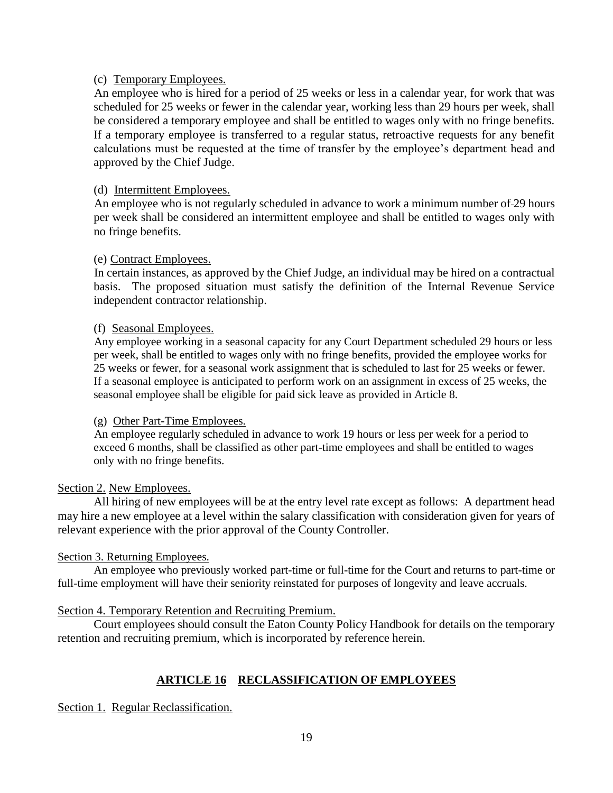#### (c) Temporary Employees.

An employee who is hired for a period of 25 weeks or less in a calendar year, for work that was scheduled for 25 weeks or fewer in the calendar year, working less than 29 hours per week, shall be considered a temporary employee and shall be entitled to wages only with no fringe benefits. If a temporary employee is transferred to a regular status, retroactive requests for any benefit calculations must be requested at the time of transfer by the employee's department head and approved by the Chief Judge.

#### (d) Intermittent Employees.

An employee who is not regularly scheduled in advance to work a minimum number of 29 hours per week shall be considered an intermittent employee and shall be entitled to wages only with no fringe benefits.

#### (e) Contract Employees.

In certain instances, as approved by the Chief Judge, an individual may be hired on a contractual basis. The proposed situation must satisfy the definition of the Internal Revenue Service independent contractor relationship.

#### (f) Seasonal Employees.

Any employee working in a seasonal capacity for any Court Department scheduled 29 hours or less per week, shall be entitled to wages only with no fringe benefits, provided the employee works for 25 weeks or fewer, for a seasonal work assignment that is scheduled to last for 25 weeks or fewer. If a seasonal employee is anticipated to perform work on an assignment in excess of 25 weeks, the seasonal employee shall be eligible for paid sick leave as provided in Article 8.

#### (g) Other Part-Time Employees.

An employee regularly scheduled in advance to work 19 hours or less per week for a period to exceed 6 months, shall be classified as other part-time employees and shall be entitled to wages only with no fringe benefits.

#### Section 2. New Employees.

All hiring of new employees will be at the entry level rate except as follows: A department head may hire a new employee at a level within the salary classification with consideration given for years of relevant experience with the prior approval of the County Controller.

#### Section 3. Returning Employees.

An employee who previously worked part-time or full-time for the Court and returns to part-time or full-time employment will have their seniority reinstated for purposes of longevity and leave accruals.

#### Section 4. Temporary Retention and Recruiting Premium.

Court employees should consult the Eaton County Policy Handbook for details on the temporary retention and recruiting premium, which is incorporated by reference herein.

#### **ARTICLE 16 RECLASSIFICATION OF EMPLOYEES**

Section 1. Regular Reclassification.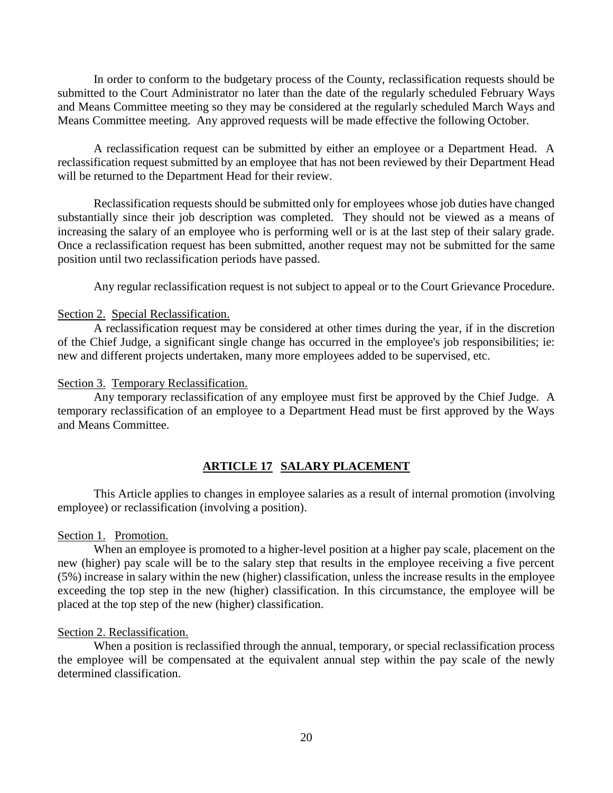In order to conform to the budgetary process of the County, reclassification requests should be submitted to the Court Administrator no later than the date of the regularly scheduled February Ways and Means Committee meeting so they may be considered at the regularly scheduled March Ways and Means Committee meeting. Any approved requests will be made effective the following October.

A reclassification request can be submitted by either an employee or a Department Head. A reclassification request submitted by an employee that has not been reviewed by their Department Head will be returned to the Department Head for their review.

Reclassification requests should be submitted only for employees whose job duties have changed substantially since their job description was completed. They should not be viewed as a means of increasing the salary of an employee who is performing well or is at the last step of their salary grade. Once a reclassification request has been submitted, another request may not be submitted for the same position until two reclassification periods have passed.

Any regular reclassification request is not subject to appeal or to the Court Grievance Procedure.

#### Section 2. Special Reclassification.

A reclassification request may be considered at other times during the year, if in the discretion of the Chief Judge, a significant single change has occurred in the employee's job responsibilities; ie: new and different projects undertaken, many more employees added to be supervised, etc.

#### Section 3. Temporary Reclassification.

Any temporary reclassification of any employee must first be approved by the Chief Judge. A temporary reclassification of an employee to a Department Head must be first approved by the Ways and Means Committee.

#### **ARTICLE 17 SALARY PLACEMENT**

This Article applies to changes in employee salaries as a result of internal promotion (involving employee) or reclassification (involving a position).

#### Section 1. Promotion.

When an employee is promoted to a higher-level position at a higher pay scale, placement on the new (higher) pay scale will be to the salary step that results in the employee receiving a five percent (5%) increase in salary within the new (higher) classification, unless the increase results in the employee exceeding the top step in the new (higher) classification. In this circumstance, the employee will be placed at the top step of the new (higher) classification.

#### Section 2. Reclassification.

When a position is reclassified through the annual, temporary, or special reclassification process the employee will be compensated at the equivalent annual step within the pay scale of the newly determined classification.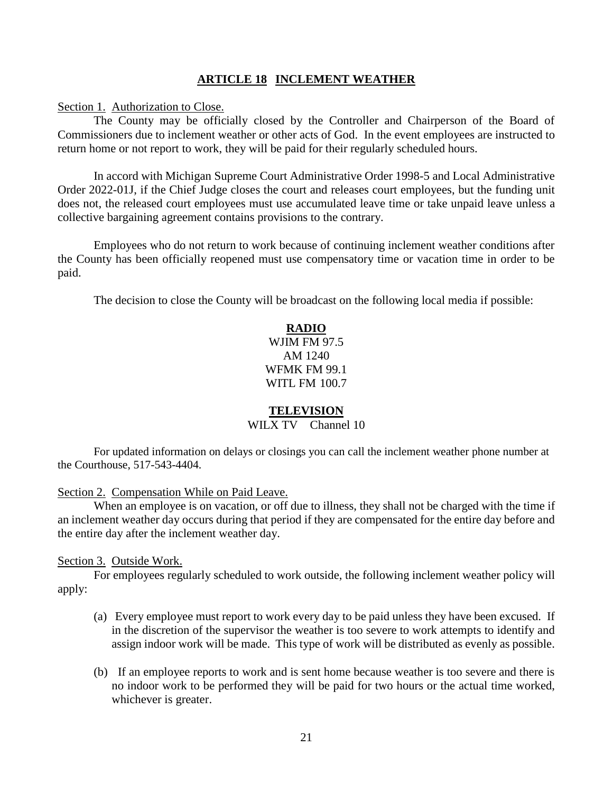#### **ARTICLE 18 INCLEMENT WEATHER**

Section 1. Authorization to Close.

The County may be officially closed by the Controller and Chairperson of the Board of Commissioners due to inclement weather or other acts of God. In the event employees are instructed to return home or not report to work, they will be paid for their regularly scheduled hours.

In accord with Michigan Supreme Court Administrative Order 1998-5 and Local Administrative Order 2022-01J, if the Chief Judge closes the court and releases court employees, but the funding unit does not, the released court employees must use accumulated leave time or take unpaid leave unless a collective bargaining agreement contains provisions to the contrary.

Employees who do not return to work because of continuing inclement weather conditions after the County has been officially reopened must use compensatory time or vacation time in order to be paid.

The decision to close the County will be broadcast on the following local media if possible:

#### **RADIO**

WJIM FM 97.5 AM 1240 WFMK FM 99.1 WITL FM 100.7

#### **TELEVISION**

#### WILX TV Channel 10

For updated information on delays or closings you can call the inclement weather phone number at the Courthouse, 517-543-4404.

Section 2. Compensation While on Paid Leave.

When an employee is on vacation, or off due to illness, they shall not be charged with the time if an inclement weather day occurs during that period if they are compensated for the entire day before and the entire day after the inclement weather day.

#### Section 3. Outside Work.

For employees regularly scheduled to work outside, the following inclement weather policy will apply:

- (a) Every employee must report to work every day to be paid unless they have been excused. If in the discretion of the supervisor the weather is too severe to work attempts to identify and assign indoor work will be made. This type of work will be distributed as evenly as possible.
- (b) If an employee reports to work and is sent home because weather is too severe and there is no indoor work to be performed they will be paid for two hours or the actual time worked, whichever is greater.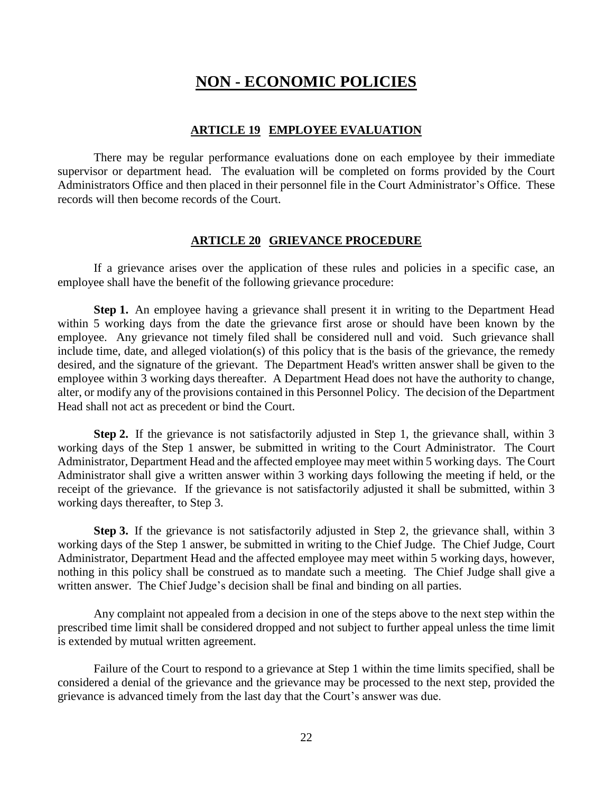## **NON - ECONOMIC POLICIES**

#### **ARTICLE 19 EMPLOYEE EVALUATION**

There may be regular performance evaluations done on each employee by their immediate supervisor or department head. The evaluation will be completed on forms provided by the Court Administrators Office and then placed in their personnel file in the Court Administrator's Office. These records will then become records of the Court.

#### **ARTICLE 20 GRIEVANCE PROCEDURE**

If a grievance arises over the application of these rules and policies in a specific case, an employee shall have the benefit of the following grievance procedure:

**Step 1.** An employee having a grievance shall present it in writing to the Department Head within 5 working days from the date the grievance first arose or should have been known by the employee. Any grievance not timely filed shall be considered null and void. Such grievance shall include time, date, and alleged violation(s) of this policy that is the basis of the grievance, the remedy desired, and the signature of the grievant. The Department Head's written answer shall be given to the employee within 3 working days thereafter. A Department Head does not have the authority to change, alter, or modify any of the provisions contained in this Personnel Policy. The decision of the Department Head shall not act as precedent or bind the Court.

**Step 2.** If the grievance is not satisfactorily adjusted in Step 1, the grievance shall, within 3 working days of the Step 1 answer, be submitted in writing to the Court Administrator. The Court Administrator, Department Head and the affected employee may meet within 5 working days. The Court Administrator shall give a written answer within 3 working days following the meeting if held, or the receipt of the grievance. If the grievance is not satisfactorily adjusted it shall be submitted, within 3 working days thereafter, to Step 3.

**Step 3.** If the grievance is not satisfactorily adjusted in Step 2, the grievance shall, within 3 working days of the Step 1 answer, be submitted in writing to the Chief Judge. The Chief Judge, Court Administrator, Department Head and the affected employee may meet within 5 working days, however, nothing in this policy shall be construed as to mandate such a meeting. The Chief Judge shall give a written answer. The Chief Judge's decision shall be final and binding on all parties.

Any complaint not appealed from a decision in one of the steps above to the next step within the prescribed time limit shall be considered dropped and not subject to further appeal unless the time limit is extended by mutual written agreement.

Failure of the Court to respond to a grievance at Step 1 within the time limits specified, shall be considered a denial of the grievance and the grievance may be processed to the next step, provided the grievance is advanced timely from the last day that the Court's answer was due.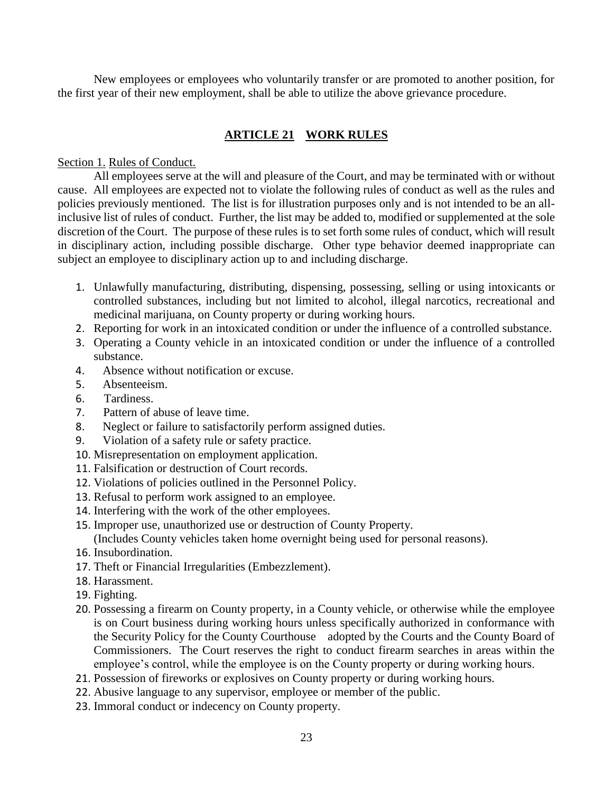New employees or employees who voluntarily transfer or are promoted to another position, for the first year of their new employment, shall be able to utilize the above grievance procedure.

## **ARTICLE 21 WORK RULES**

#### Section 1. Rules of Conduct.

All employees serve at the will and pleasure of the Court, and may be terminated with or without cause. All employees are expected not to violate the following rules of conduct as well as the rules and policies previously mentioned. The list is for illustration purposes only and is not intended to be an allinclusive list of rules of conduct. Further, the list may be added to, modified or supplemented at the sole discretion of the Court. The purpose of these rules is to set forth some rules of conduct, which will result in disciplinary action, including possible discharge. Other type behavior deemed inappropriate can subject an employee to disciplinary action up to and including discharge.

- 1. Unlawfully manufacturing, distributing, dispensing, possessing, selling or using intoxicants or controlled substances, including but not limited to alcohol, illegal narcotics, recreational and medicinal marijuana, on County property or during working hours.
- 2. Reporting for work in an intoxicated condition or under the influence of a controlled substance.
- 3. Operating a County vehicle in an intoxicated condition or under the influence of a controlled substance.
- 4. Absence without notification or excuse.
- 5. Absenteeism.
- 6. Tardiness.
- 7. Pattern of abuse of leave time.
- 8. Neglect or failure to satisfactorily perform assigned duties.
- 9. Violation of a safety rule or safety practice.
- 10. Misrepresentation on employment application.
- 11. Falsification or destruction of Court records.
- 12. Violations of policies outlined in the Personnel Policy.
- 13. Refusal to perform work assigned to an employee.
- 14. Interfering with the work of the other employees.
- 15. Improper use, unauthorized use or destruction of County Property.

(Includes County vehicles taken home overnight being used for personal reasons).

- 16. Insubordination.
- 17. Theft or Financial Irregularities (Embezzlement).
- 18. Harassment.
- 19. Fighting.
- 20. Possessing a firearm on County property, in a County vehicle, or otherwise while the employee is on Court business during working hours unless specifically authorized in conformance with the Security Policy for the County Courthouse adopted by the Courts and the County Board of Commissioners. The Court reserves the right to conduct firearm searches in areas within the employee's control, while the employee is on the County property or during working hours.
- 21. Possession of fireworks or explosives on County property or during working hours.
- 22. Abusive language to any supervisor, employee or member of the public.
- 23. Immoral conduct or indecency on County property.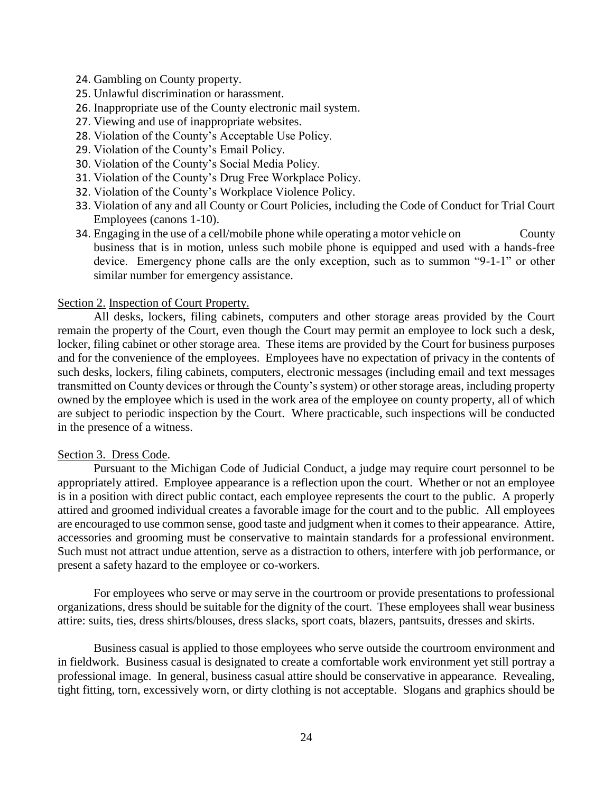- 24. Gambling on County property.
- 25. Unlawful discrimination or harassment.
- 26. Inappropriate use of the County electronic mail system.
- 27. Viewing and use of inappropriate websites.
- 28. Violation of the County's Acceptable Use Policy.
- 29. Violation of the County's Email Policy.
- 30. Violation of the County's Social Media Policy.
- 31. Violation of the County's Drug Free Workplace Policy.
- 32. Violation of the County's Workplace Violence Policy.
- 33. Violation of any and all County or Court Policies, including the Code of Conduct for Trial Court Employees (canons 1-10).
- 34. Engaging in the use of a cell/mobile phone while operating a motor vehicle on County business that is in motion, unless such mobile phone is equipped and used with a hands-free device. Emergency phone calls are the only exception, such as to summon "9-1-1" or other similar number for emergency assistance.

#### Section 2. Inspection of Court Property.

All desks, lockers, filing cabinets, computers and other storage areas provided by the Court remain the property of the Court, even though the Court may permit an employee to lock such a desk, locker, filing cabinet or other storage area. These items are provided by the Court for business purposes and for the convenience of the employees. Employees have no expectation of privacy in the contents of such desks, lockers, filing cabinets, computers, electronic messages (including email and text messages transmitted on County devices or through the County's system) or other storage areas, including property owned by the employee which is used in the work area of the employee on county property, all of which are subject to periodic inspection by the Court. Where practicable, such inspections will be conducted in the presence of a witness.

#### Section 3. Dress Code.

Pursuant to the Michigan Code of Judicial Conduct, a judge may require court personnel to be appropriately attired. Employee appearance is a reflection upon the court. Whether or not an employee is in a position with direct public contact, each employee represents the court to the public. A properly attired and groomed individual creates a favorable image for the court and to the public. All employees are encouraged to use common sense, good taste and judgment when it comes to their appearance. Attire, accessories and grooming must be conservative to maintain standards for a professional environment. Such must not attract undue attention, serve as a distraction to others, interfere with job performance, or present a safety hazard to the employee or co-workers.

For employees who serve or may serve in the courtroom or provide presentations to professional organizations, dress should be suitable for the dignity of the court. These employees shall wear business attire: suits, ties, dress shirts/blouses, dress slacks, sport coats, blazers, pantsuits, dresses and skirts.

Business casual is applied to those employees who serve outside the courtroom environment and in fieldwork. Business casual is designated to create a comfortable work environment yet still portray a professional image. In general, business casual attire should be conservative in appearance. Revealing, tight fitting, torn, excessively worn, or dirty clothing is not acceptable. Slogans and graphics should be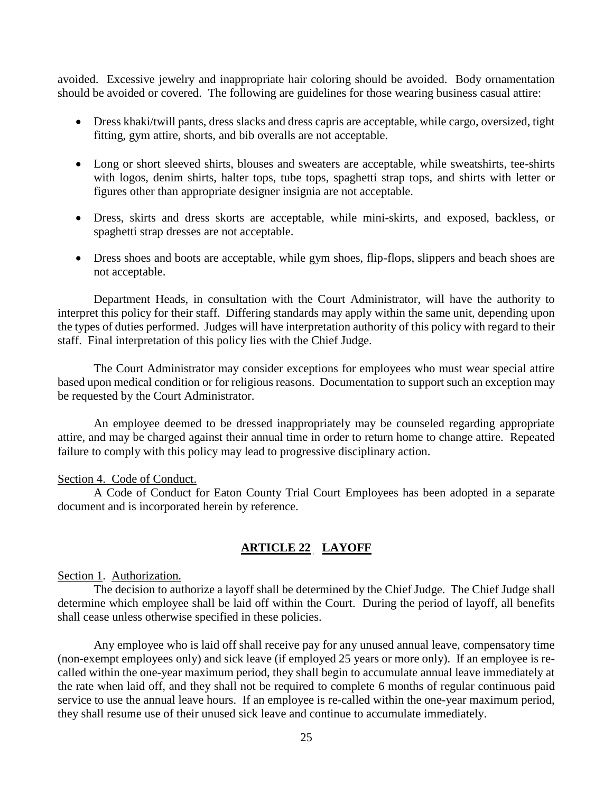avoided. Excessive jewelry and inappropriate hair coloring should be avoided. Body ornamentation should be avoided or covered. The following are guidelines for those wearing business casual attire:

- Dress khaki/twill pants, dress slacks and dress capris are acceptable, while cargo, oversized, tight fitting, gym attire, shorts, and bib overalls are not acceptable.
- Long or short sleeved shirts, blouses and sweaters are acceptable, while sweatshirts, tee-shirts with logos, denim shirts, halter tops, tube tops, spaghetti strap tops, and shirts with letter or figures other than appropriate designer insignia are not acceptable.
- Dress, skirts and dress skorts are acceptable, while mini-skirts, and exposed, backless, or spaghetti strap dresses are not acceptable.
- Dress shoes and boots are acceptable, while gym shoes, flip-flops, slippers and beach shoes are not acceptable.

Department Heads, in consultation with the Court Administrator, will have the authority to interpret this policy for their staff. Differing standards may apply within the same unit, depending upon the types of duties performed. Judges will have interpretation authority of this policy with regard to their staff. Final interpretation of this policy lies with the Chief Judge.

The Court Administrator may consider exceptions for employees who must wear special attire based upon medical condition or for religious reasons. Documentation to support such an exception may be requested by the Court Administrator.

An employee deemed to be dressed inappropriately may be counseled regarding appropriate attire, and may be charged against their annual time in order to return home to change attire. Repeated failure to comply with this policy may lead to progressive disciplinary action.

#### Section 4. Code of Conduct.

A Code of Conduct for Eaton County Trial Court Employees has been adopted in a separate document and is incorporated herein by reference.

#### **ARTICLE 22 LAYOFF**

Section 1. Authorization.

The decision to authorize a layoff shall be determined by the Chief Judge. The Chief Judge shall determine which employee shall be laid off within the Court. During the period of layoff, all benefits shall cease unless otherwise specified in these policies.

Any employee who is laid off shall receive pay for any unused annual leave, compensatory time (non-exempt employees only) and sick leave (if employed 25 years or more only). If an employee is recalled within the one-year maximum period, they shall begin to accumulate annual leave immediately at the rate when laid off, and they shall not be required to complete 6 months of regular continuous paid service to use the annual leave hours. If an employee is re-called within the one-year maximum period, they shall resume use of their unused sick leave and continue to accumulate immediately.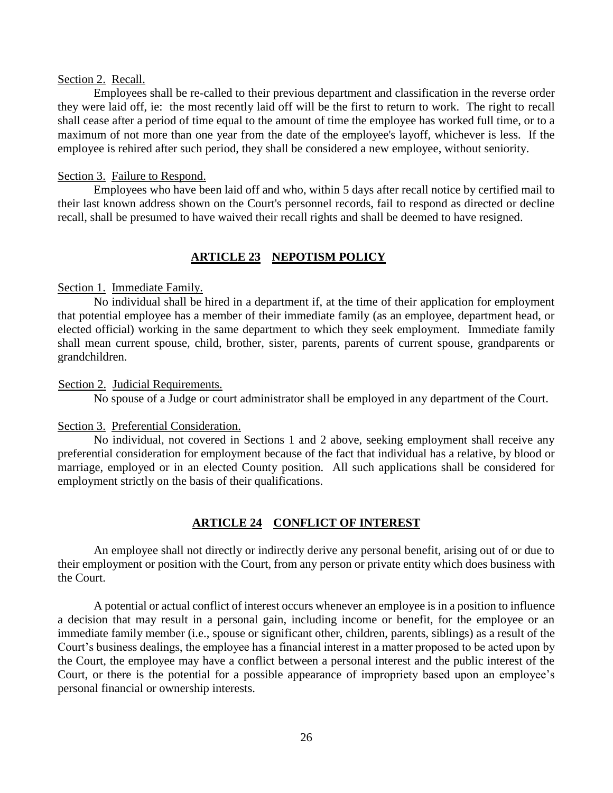#### Section 2. Recall.

Employees shall be re-called to their previous department and classification in the reverse order they were laid off, ie: the most recently laid off will be the first to return to work. The right to recall shall cease after a period of time equal to the amount of time the employee has worked full time, or to a maximum of not more than one year from the date of the employee's layoff, whichever is less. If the employee is rehired after such period, they shall be considered a new employee, without seniority.

#### Section 3. Failure to Respond.

Employees who have been laid off and who, within 5 days after recall notice by certified mail to their last known address shown on the Court's personnel records, fail to respond as directed or decline recall, shall be presumed to have waived their recall rights and shall be deemed to have resigned.

#### **ARTICLE 23 NEPOTISM POLICY**

#### Section 1. Immediate Family.

No individual shall be hired in a department if, at the time of their application for employment that potential employee has a member of their immediate family (as an employee, department head, or elected official) working in the same department to which they seek employment. Immediate family shall mean current spouse, child, brother, sister, parents, parents of current spouse, grandparents or grandchildren.

#### Section 2. Judicial Requirements.

No spouse of a Judge or court administrator shall be employed in any department of the Court.

#### Section 3. Preferential Consideration.

No individual, not covered in Sections 1 and 2 above, seeking employment shall receive any preferential consideration for employment because of the fact that individual has a relative, by blood or marriage, employed or in an elected County position. All such applications shall be considered for employment strictly on the basis of their qualifications.

#### **ARTICLE 24 CONFLICT OF INTEREST**

An employee shall not directly or indirectly derive any personal benefit, arising out of or due to their employment or position with the Court, from any person or private entity which does business with the Court.

A potential or actual conflict of interest occurs whenever an employee is in a position to influence a decision that may result in a personal gain, including income or benefit, for the employee or an immediate family member (i.e., spouse or significant other, children, parents, siblings) as a result of the Court's business dealings, the employee has a financial interest in a matter proposed to be acted upon by the Court, the employee may have a conflict between a personal interest and the public interest of the Court, or there is the potential for a possible appearance of impropriety based upon an employee's personal financial or ownership interests.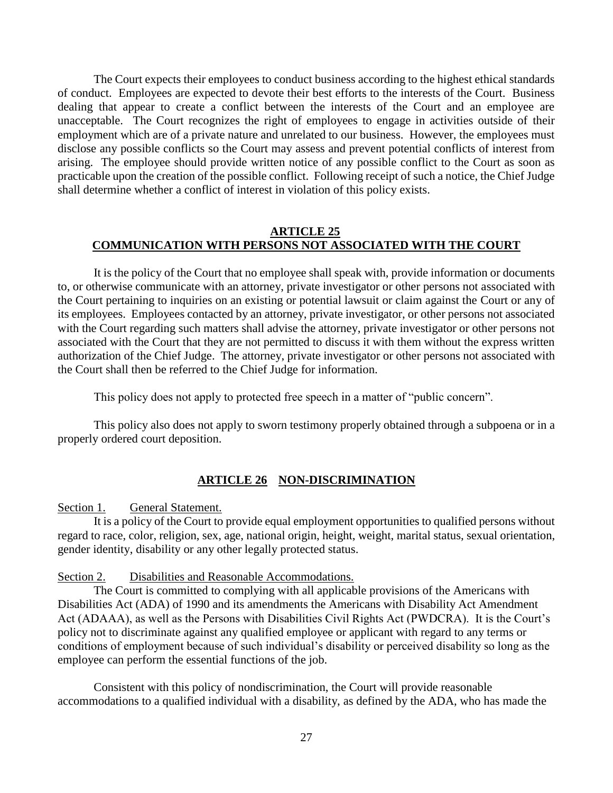The Court expects their employees to conduct business according to the highest ethical standards of conduct. Employees are expected to devote their best efforts to the interests of the Court. Business dealing that appear to create a conflict between the interests of the Court and an employee are unacceptable. The Court recognizes the right of employees to engage in activities outside of their employment which are of a private nature and unrelated to our business. However, the employees must disclose any possible conflicts so the Court may assess and prevent potential conflicts of interest from arising. The employee should provide written notice of any possible conflict to the Court as soon as practicable upon the creation of the possible conflict. Following receipt of such a notice, the Chief Judge shall determine whether a conflict of interest in violation of this policy exists.

#### **ARTICLE 25 COMMUNICATION WITH PERSONS NOT ASSOCIATED WITH THE COURT**

It is the policy of the Court that no employee shall speak with, provide information or documents to, or otherwise communicate with an attorney, private investigator or other persons not associated with the Court pertaining to inquiries on an existing or potential lawsuit or claim against the Court or any of its employees. Employees contacted by an attorney, private investigator, or other persons not associated with the Court regarding such matters shall advise the attorney, private investigator or other persons not associated with the Court that they are not permitted to discuss it with them without the express written authorization of the Chief Judge. The attorney, private investigator or other persons not associated with the Court shall then be referred to the Chief Judge for information.

This policy does not apply to protected free speech in a matter of "public concern".

This policy also does not apply to sworn testimony properly obtained through a subpoena or in a properly ordered court deposition.

#### **ARTICLE 26 NON-DISCRIMINATION**

Section 1. General Statement.

It is a policy of the Court to provide equal employment opportunities to qualified persons without regard to race, color, religion, sex, age, national origin, height, weight, marital status, sexual orientation, gender identity, disability or any other legally protected status.

#### Section 2. Disabilities and Reasonable Accommodations.

The Court is committed to complying with all applicable provisions of the Americans with Disabilities Act (ADA) of 1990 and its amendments the Americans with Disability Act Amendment Act (ADAAA), as well as the Persons with Disabilities Civil Rights Act (PWDCRA). It is the Court's policy not to discriminate against any qualified employee or applicant with regard to any terms or conditions of employment because of such individual's disability or perceived disability so long as the employee can perform the essential functions of the job.

Consistent with this policy of nondiscrimination, the Court will provide reasonable accommodations to a qualified individual with a disability, as defined by the ADA, who has made the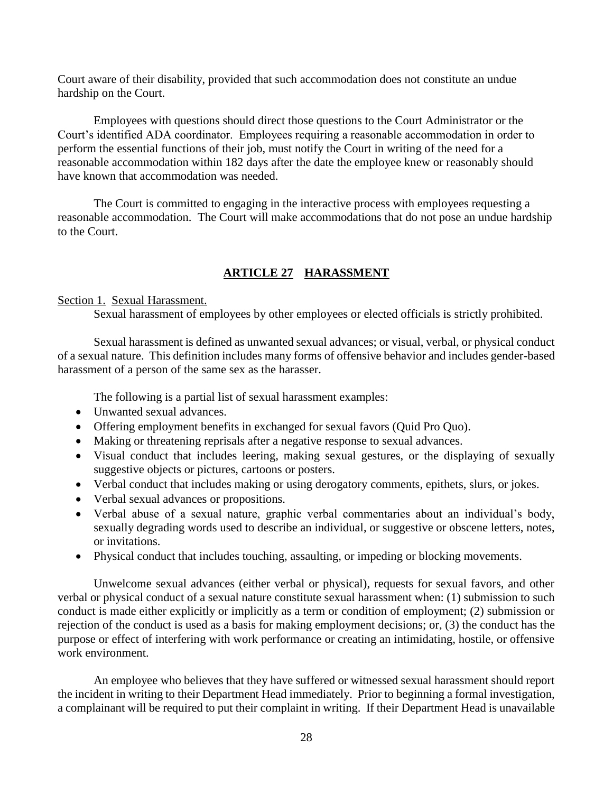Court aware of their disability, provided that such accommodation does not constitute an undue hardship on the Court.

Employees with questions should direct those questions to the Court Administrator or the Court's identified ADA coordinator. Employees requiring a reasonable accommodation in order to perform the essential functions of their job, must notify the Court in writing of the need for a reasonable accommodation within 182 days after the date the employee knew or reasonably should have known that accommodation was needed.

The Court is committed to engaging in the interactive process with employees requesting a reasonable accommodation. The Court will make accommodations that do not pose an undue hardship to the Court.

#### **ARTICLE 27 HARASSMENT**

#### Section 1. Sexual Harassment.

Sexual harassment of employees by other employees or elected officials is strictly prohibited.

Sexual harassment is defined as unwanted sexual advances; or visual, verbal, or physical conduct of a sexual nature. This definition includes many forms of offensive behavior and includes gender-based harassment of a person of the same sex as the harasser.

The following is a partial list of sexual harassment examples:

- Unwanted sexual advances.
- Offering employment benefits in exchanged for sexual favors (Quid Pro Quo).
- Making or threatening reprisals after a negative response to sexual advances.
- Visual conduct that includes leering, making sexual gestures, or the displaying of sexually suggestive objects or pictures, cartoons or posters.
- Verbal conduct that includes making or using derogatory comments, epithets, slurs, or jokes.
- Verbal sexual advances or propositions.
- Verbal abuse of a sexual nature, graphic verbal commentaries about an individual's body, sexually degrading words used to describe an individual, or suggestive or obscene letters, notes, or invitations.
- Physical conduct that includes touching, assaulting, or impeding or blocking movements.

Unwelcome sexual advances (either verbal or physical), requests for sexual favors, and other verbal or physical conduct of a sexual nature constitute sexual harassment when: (1) submission to such conduct is made either explicitly or implicitly as a term or condition of employment; (2) submission or rejection of the conduct is used as a basis for making employment decisions; or, (3) the conduct has the purpose or effect of interfering with work performance or creating an intimidating, hostile, or offensive work environment.

An employee who believes that they have suffered or witnessed sexual harassment should report the incident in writing to their Department Head immediately. Prior to beginning a formal investigation, a complainant will be required to put their complaint in writing. If their Department Head is unavailable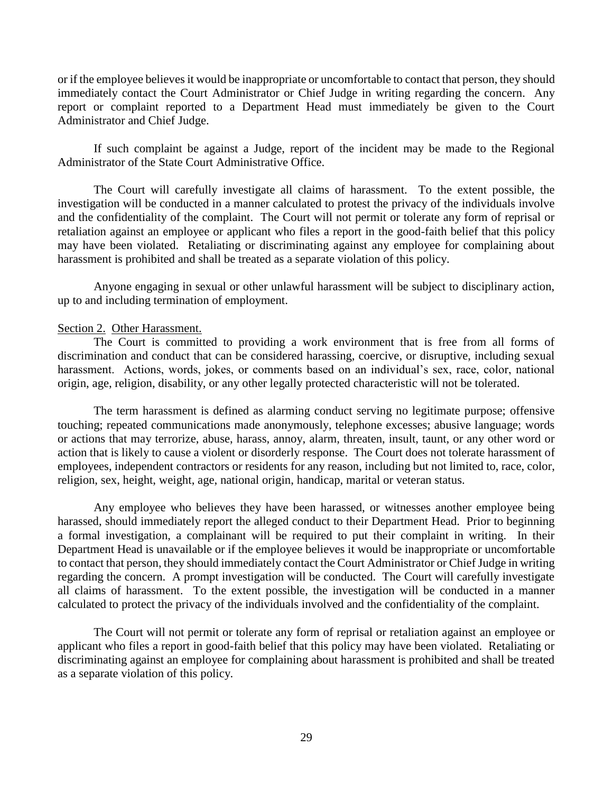or if the employee believes it would be inappropriate or uncomfortable to contact that person, they should immediately contact the Court Administrator or Chief Judge in writing regarding the concern. Any report or complaint reported to a Department Head must immediately be given to the Court Administrator and Chief Judge.

If such complaint be against a Judge, report of the incident may be made to the Regional Administrator of the State Court Administrative Office.

The Court will carefully investigate all claims of harassment. To the extent possible, the investigation will be conducted in a manner calculated to protest the privacy of the individuals involve and the confidentiality of the complaint. The Court will not permit or tolerate any form of reprisal or retaliation against an employee or applicant who files a report in the good-faith belief that this policy may have been violated. Retaliating or discriminating against any employee for complaining about harassment is prohibited and shall be treated as a separate violation of this policy.

Anyone engaging in sexual or other unlawful harassment will be subject to disciplinary action, up to and including termination of employment.

#### Section 2. Other Harassment.

The Court is committed to providing a work environment that is free from all forms of discrimination and conduct that can be considered harassing, coercive, or disruptive, including sexual harassment. Actions, words, jokes, or comments based on an individual's sex, race, color, national origin, age, religion, disability, or any other legally protected characteristic will not be tolerated.

The term harassment is defined as alarming conduct serving no legitimate purpose; offensive touching; repeated communications made anonymously, telephone excesses; abusive language; words or actions that may terrorize, abuse, harass, annoy, alarm, threaten, insult, taunt, or any other word or action that is likely to cause a violent or disorderly response. The Court does not tolerate harassment of employees, independent contractors or residents for any reason, including but not limited to, race, color, religion, sex, height, weight, age, national origin, handicap, marital or veteran status.

Any employee who believes they have been harassed, or witnesses another employee being harassed, should immediately report the alleged conduct to their Department Head. Prior to beginning a formal investigation, a complainant will be required to put their complaint in writing. In their Department Head is unavailable or if the employee believes it would be inappropriate or uncomfortable to contact that person, they should immediately contact the Court Administrator or Chief Judge in writing regarding the concern. A prompt investigation will be conducted. The Court will carefully investigate all claims of harassment. To the extent possible, the investigation will be conducted in a manner calculated to protect the privacy of the individuals involved and the confidentiality of the complaint.

The Court will not permit or tolerate any form of reprisal or retaliation against an employee or applicant who files a report in good-faith belief that this policy may have been violated. Retaliating or discriminating against an employee for complaining about harassment is prohibited and shall be treated as a separate violation of this policy.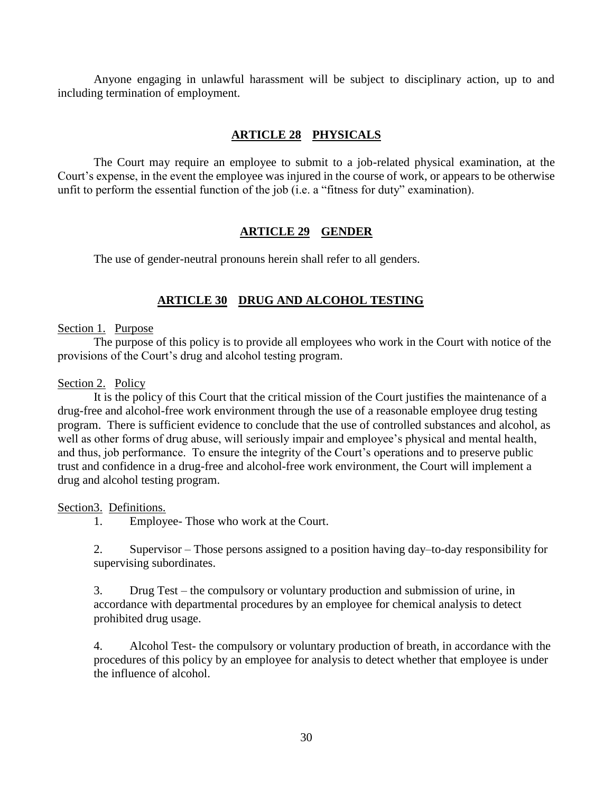Anyone engaging in unlawful harassment will be subject to disciplinary action, up to and including termination of employment.

## **ARTICLE 28 PHYSICALS**

The Court may require an employee to submit to a job-related physical examination, at the Court's expense, in the event the employee was injured in the course of work, or appears to be otherwise unfit to perform the essential function of the job (i.e. a "fitness for duty" examination).

#### **ARTICLE 29 GENDER**

The use of gender-neutral pronouns herein shall refer to all genders.

#### **ARTICLE 30 DRUG AND ALCOHOL TESTING**

#### Section 1. Purpose

The purpose of this policy is to provide all employees who work in the Court with notice of the provisions of the Court's drug and alcohol testing program.

#### Section 2. Policy

It is the policy of this Court that the critical mission of the Court justifies the maintenance of a drug-free and alcohol-free work environment through the use of a reasonable employee drug testing program. There is sufficient evidence to conclude that the use of controlled substances and alcohol, as well as other forms of drug abuse, will seriously impair and employee's physical and mental health, and thus, job performance. To ensure the integrity of the Court's operations and to preserve public trust and confidence in a drug-free and alcohol-free work environment, the Court will implement a drug and alcohol testing program.

#### Section3. Definitions.

1. Employee- Those who work at the Court.

2. Supervisor – Those persons assigned to a position having day–to-day responsibility for supervising subordinates.

3. Drug Test – the compulsory or voluntary production and submission of urine, in accordance with departmental procedures by an employee for chemical analysis to detect prohibited drug usage.

4. Alcohol Test- the compulsory or voluntary production of breath, in accordance with the procedures of this policy by an employee for analysis to detect whether that employee is under the influence of alcohol.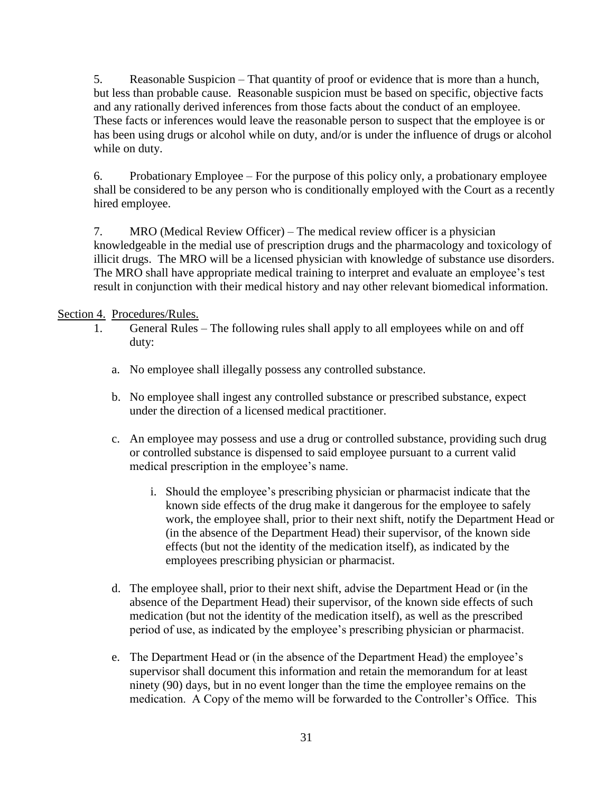5. Reasonable Suspicion – That quantity of proof or evidence that is more than a hunch, but less than probable cause. Reasonable suspicion must be based on specific, objective facts and any rationally derived inferences from those facts about the conduct of an employee. These facts or inferences would leave the reasonable person to suspect that the employee is or has been using drugs or alcohol while on duty, and/or is under the influence of drugs or alcohol while on duty.

6. Probationary Employee – For the purpose of this policy only, a probationary employee shall be considered to be any person who is conditionally employed with the Court as a recently hired employee.

7. MRO (Medical Review Officer) – The medical review officer is a physician knowledgeable in the medial use of prescription drugs and the pharmacology and toxicology of illicit drugs. The MRO will be a licensed physician with knowledge of substance use disorders. The MRO shall have appropriate medical training to interpret and evaluate an employee's test result in conjunction with their medical history and nay other relevant biomedical information.

#### Section 4. Procedures/Rules.

- 1. General Rules The following rules shall apply to all employees while on and off duty:
	- a. No employee shall illegally possess any controlled substance.
	- b. No employee shall ingest any controlled substance or prescribed substance, expect under the direction of a licensed medical practitioner.
	- c. An employee may possess and use a drug or controlled substance, providing such drug or controlled substance is dispensed to said employee pursuant to a current valid medical prescription in the employee's name.
		- i. Should the employee's prescribing physician or pharmacist indicate that the known side effects of the drug make it dangerous for the employee to safely work, the employee shall, prior to their next shift, notify the Department Head or (in the absence of the Department Head) their supervisor, of the known side effects (but not the identity of the medication itself), as indicated by the employees prescribing physician or pharmacist.
	- d. The employee shall, prior to their next shift, advise the Department Head or (in the absence of the Department Head) their supervisor, of the known side effects of such medication (but not the identity of the medication itself), as well as the prescribed period of use, as indicated by the employee's prescribing physician or pharmacist.
	- e. The Department Head or (in the absence of the Department Head) the employee's supervisor shall document this information and retain the memorandum for at least ninety (90) days, but in no event longer than the time the employee remains on the medication. A Copy of the memo will be forwarded to the Controller's Office. This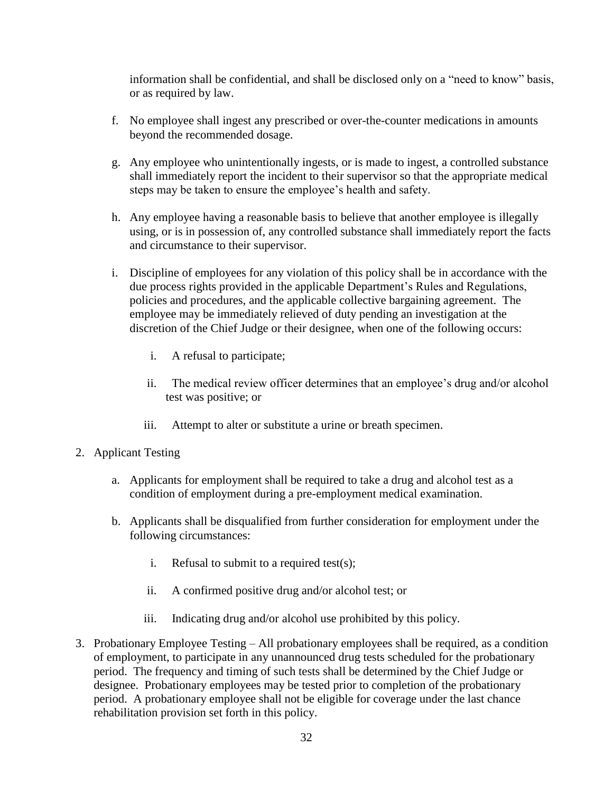information shall be confidential, and shall be disclosed only on a "need to know" basis, or as required by law.

- f. No employee shall ingest any prescribed or over-the-counter medications in amounts beyond the recommended dosage.
- g. Any employee who unintentionally ingests, or is made to ingest, a controlled substance shall immediately report the incident to their supervisor so that the appropriate medical steps may be taken to ensure the employee's health and safety.
- h. Any employee having a reasonable basis to believe that another employee is illegally using, or is in possession of, any controlled substance shall immediately report the facts and circumstance to their supervisor.
- i. Discipline of employees for any violation of this policy shall be in accordance with the due process rights provided in the applicable Department's Rules and Regulations, policies and procedures, and the applicable collective bargaining agreement. The employee may be immediately relieved of duty pending an investigation at the discretion of the Chief Judge or their designee, when one of the following occurs:
	- i. A refusal to participate;
	- ii. The medical review officer determines that an employee's drug and/or alcohol test was positive; or
	- iii. Attempt to alter or substitute a urine or breath specimen.
- 2. Applicant Testing
	- a. Applicants for employment shall be required to take a drug and alcohol test as a condition of employment during a pre-employment medical examination.
	- b. Applicants shall be disqualified from further consideration for employment under the following circumstances:
		- i. Refusal to submit to a required test(s);
		- ii. A confirmed positive drug and/or alcohol test; or
		- iii. Indicating drug and/or alcohol use prohibited by this policy.
- 3. Probationary Employee Testing All probationary employees shall be required, as a condition of employment, to participate in any unannounced drug tests scheduled for the probationary period. The frequency and timing of such tests shall be determined by the Chief Judge or designee. Probationary employees may be tested prior to completion of the probationary period. A probationary employee shall not be eligible for coverage under the last chance rehabilitation provision set forth in this policy.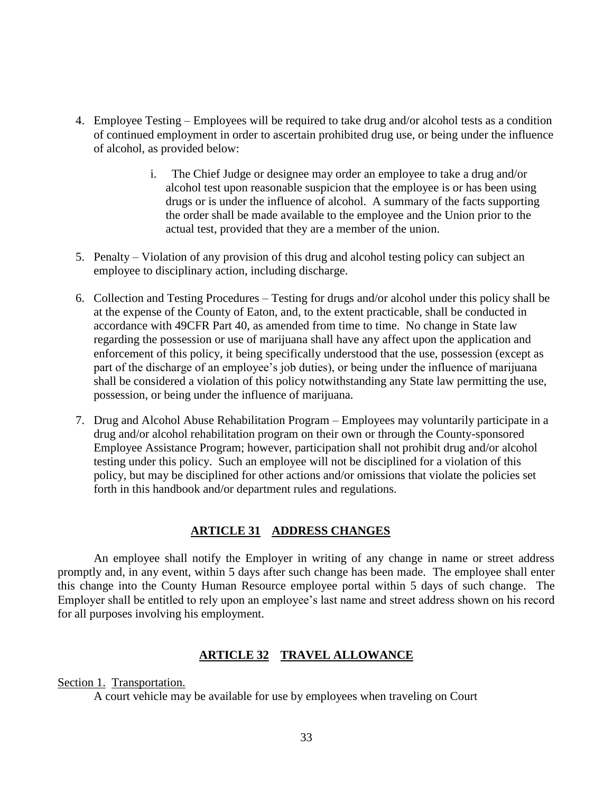- 4. Employee Testing Employees will be required to take drug and/or alcohol tests as a condition of continued employment in order to ascertain prohibited drug use, or being under the influence of alcohol, as provided below:
	- i. The Chief Judge or designee may order an employee to take a drug and/or alcohol test upon reasonable suspicion that the employee is or has been using drugs or is under the influence of alcohol. A summary of the facts supporting the order shall be made available to the employee and the Union prior to the actual test, provided that they are a member of the union.
- 5. Penalty Violation of any provision of this drug and alcohol testing policy can subject an employee to disciplinary action, including discharge.
- 6. Collection and Testing Procedures Testing for drugs and/or alcohol under this policy shall be at the expense of the County of Eaton, and, to the extent practicable, shall be conducted in accordance with 49CFR Part 40, as amended from time to time. No change in State law regarding the possession or use of marijuana shall have any affect upon the application and enforcement of this policy, it being specifically understood that the use, possession (except as part of the discharge of an employee's job duties), or being under the influence of marijuana shall be considered a violation of this policy notwithstanding any State law permitting the use, possession, or being under the influence of marijuana.
- 7. Drug and Alcohol Abuse Rehabilitation Program Employees may voluntarily participate in a drug and/or alcohol rehabilitation program on their own or through the County-sponsored Employee Assistance Program; however, participation shall not prohibit drug and/or alcohol testing under this policy. Such an employee will not be disciplined for a violation of this policy, but may be disciplined for other actions and/or omissions that violate the policies set forth in this handbook and/or department rules and regulations.

#### **ARTICLE 31 ADDRESS CHANGES**

An employee shall notify the Employer in writing of any change in name or street address promptly and, in any event, within 5 days after such change has been made. The employee shall enter this change into the County Human Resource employee portal within 5 days of such change. The Employer shall be entitled to rely upon an employee's last name and street address shown on his record for all purposes involving his employment.

#### **ARTICLE 32 TRAVEL ALLOWANCE**

Section 1. Transportation.

A court vehicle may be available for use by employees when traveling on Court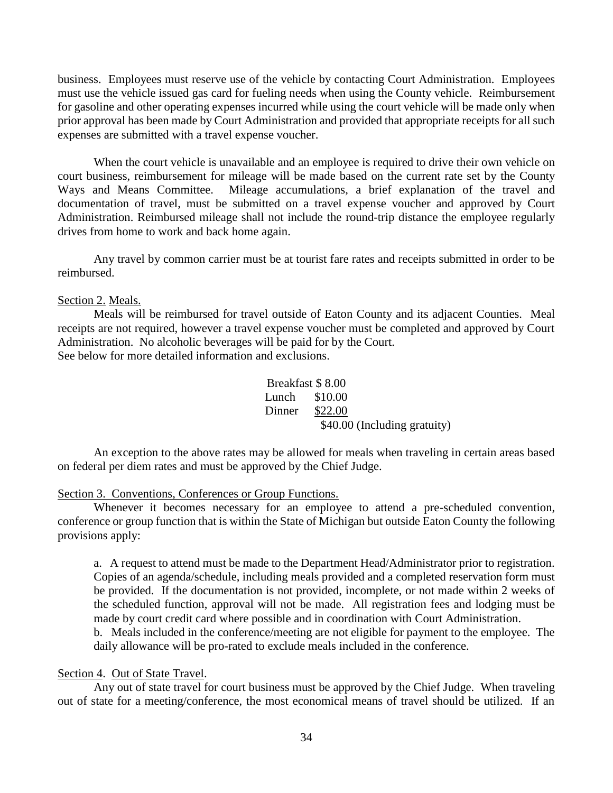business. Employees must reserve use of the vehicle by contacting Court Administration. Employees must use the vehicle issued gas card for fueling needs when using the County vehicle. Reimbursement for gasoline and other operating expenses incurred while using the court vehicle will be made only when prior approval has been made by Court Administration and provided that appropriate receipts for all such expenses are submitted with a travel expense voucher.

When the court vehicle is unavailable and an employee is required to drive their own vehicle on court business, reimbursement for mileage will be made based on the current rate set by the County Ways and Means Committee. Mileage accumulations, a brief explanation of the travel and documentation of travel, must be submitted on a travel expense voucher and approved by Court Administration. Reimbursed mileage shall not include the round-trip distance the employee regularly drives from home to work and back home again.

Any travel by common carrier must be at tourist fare rates and receipts submitted in order to be reimbursed.

#### Section 2. Meals.

Meals will be reimbursed for travel outside of Eaton County and its adjacent Counties. Meal receipts are not required, however a travel expense voucher must be completed and approved by Court Administration. No alcoholic beverages will be paid for by the Court. See below for more detailed information and exclusions.

> Breakfast \$ 8.00 Lunch \$10.00 Dinner \$22.00

> > \$40.00 (Including gratuity)

An exception to the above rates may be allowed for meals when traveling in certain areas based on federal per diem rates and must be approved by the Chief Judge.

#### Section 3. Conventions, Conferences or Group Functions.

Whenever it becomes necessary for an employee to attend a pre-scheduled convention, conference or group function that is within the State of Michigan but outside Eaton County the following provisions apply:

a. A request to attend must be made to the Department Head/Administrator prior to registration. Copies of an agenda/schedule, including meals provided and a completed reservation form must be provided. If the documentation is not provided, incomplete, or not made within 2 weeks of the scheduled function, approval will not be made. All registration fees and lodging must be made by court credit card where possible and in coordination with Court Administration.

b. Meals included in the conference/meeting are not eligible for payment to the employee. The daily allowance will be pro-rated to exclude meals included in the conference.

#### Section 4. Out of State Travel.

Any out of state travel for court business must be approved by the Chief Judge. When traveling out of state for a meeting/conference, the most economical means of travel should be utilized. If an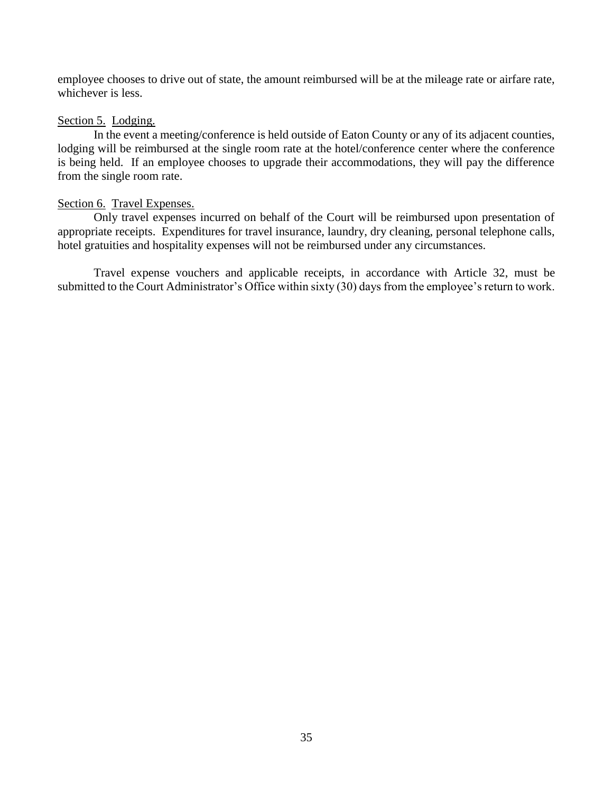employee chooses to drive out of state, the amount reimbursed will be at the mileage rate or airfare rate, whichever is less.

#### Section 5. Lodging.

In the event a meeting/conference is held outside of Eaton County or any of its adjacent counties, lodging will be reimbursed at the single room rate at the hotel/conference center where the conference is being held. If an employee chooses to upgrade their accommodations, they will pay the difference from the single room rate.

#### Section 6. Travel Expenses.

Only travel expenses incurred on behalf of the Court will be reimbursed upon presentation of appropriate receipts. Expenditures for travel insurance, laundry, dry cleaning, personal telephone calls, hotel gratuities and hospitality expenses will not be reimbursed under any circumstances.

Travel expense vouchers and applicable receipts, in accordance with Article 32, must be submitted to the Court Administrator's Office within sixty (30) days from the employee's return to work.